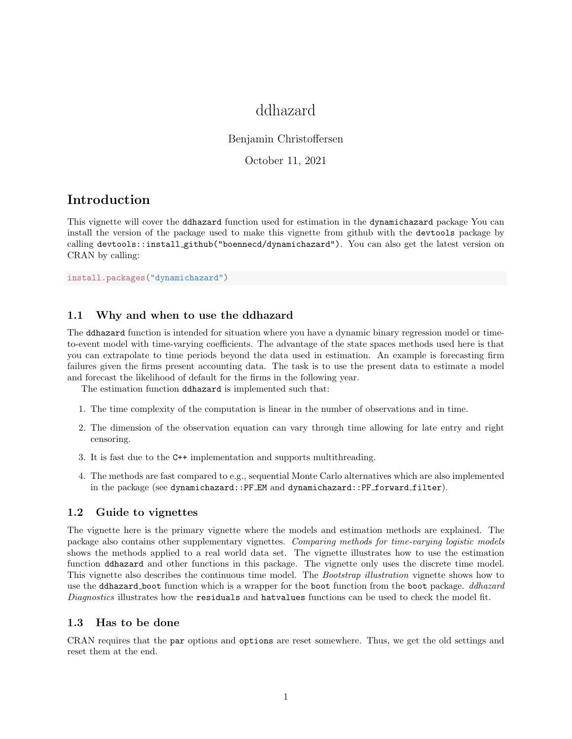# ddhazard

## Benjamin Christoffersen

## October 11, 2021

# Introduction

This vignette will cover the ddhazard function used for estimation in the dynamichazard package You can install the version of the package used to make this vignette from github with the devtools package by calling devtools::install github("boennecd/dynamichazard"). You can also get the latest version on CRAN by calling:

install.packages("dynamichazard")

# 1.1 Why and when to use the ddhazard

The ddhazard function is intended for situation where you have a dynamic binary regression model or timeto-event model with time-varying coefficients. The advantage of the state spaces methods used here is that you can extrapolate to time periods beyond the data used in estimation. An example is forecasting firm failures given the firms present accounting data. The task is to use the present data to estimate a model and forecast the likelihood of default for the firms in the following year.

The estimation function ddhazard is implemented such that:

- 1. The time complexity of the computation is linear in the number of observations and in time.
- 2. The dimension of the observation equation can vary through time allowing for late entry and right censoring.
- 3. It is fast due to the C++ implementation and supports multithreading.
- 4. The methods are fast compared to e.g., sequential Monte Carlo alternatives which are also implemented in the package (see dynamichazard::PF EM and dynamichazard::PF forward filter).

# 1.2 Guide to vignettes

The vignette here is the primary vignette where the models and estimation methods are explained. The package also contains other supplementary vignettes. Comparing methods for time-varying logistic models shows the methods applied to a real world data set. The vignette illustrates how to use the estimation function ddhazard and other functions in this package. The vignette only uses the discrete time model. This vignette also describes the continuous time model. The Bootstrap illustration vignette shows how to use the ddhazard boot function which is a wrapper for the boot function from the boot package. *ddhazard* Diagnostics illustrates how the residuals and hatvalues functions can be used to check the model fit.

## 1.3 Has to be done

CRAN requires that the par options and options are reset somewhere. Thus, we get the old settings and reset them at the end.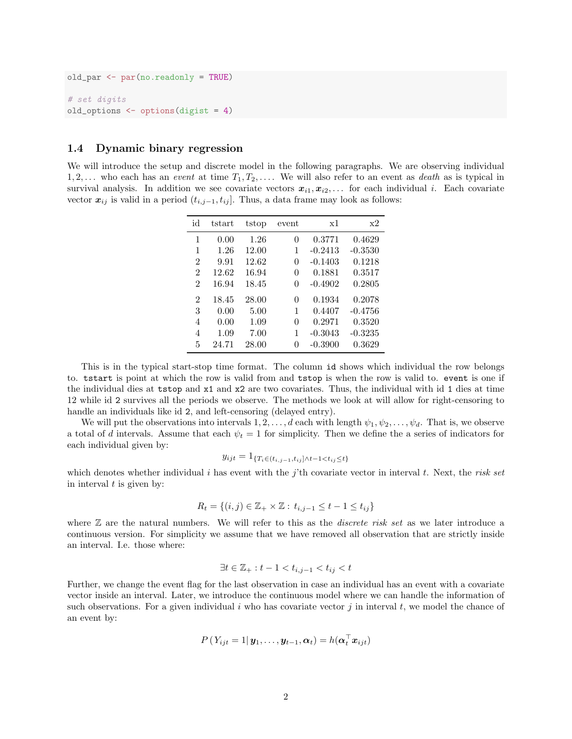```
old_par <- par(no.readonly = TRUE)
# set digits
old_options <- options(digist = 4)
```
## 1.4 Dynamic binary regression

We will introduce the setup and discrete model in the following paragraphs. We are observing individual  $1, 2, \ldots$  who each has an *event* at time  $T_1, T_2, \ldots$ . We will also refer to an event as *death* as is typical in survival analysis. In addition we see covariate vectors  $x_{i1}, x_{i2}, \ldots$  for each individual i. Each covariate vector  $x_{ij}$  is valid in a period  $(t_{i,j-1}, t_{ij}]$ . Thus, a data frame may look as follows:

| id             | tstart | tstop | event | x1        | x2        |
|----------------|--------|-------|-------|-----------|-----------|
| 1              | 0.00   | 1.26  | 0     | 0.3771    | 0.4629    |
| 1              | 1.26   | 12.00 | 1     | $-0.2413$ | $-0.3530$ |
| $\overline{2}$ | 9.91   | 12.62 | 0     | $-0.1403$ | 0.1218    |
| $\mathcal{D}$  | 12.62  | 16.94 | 0     | 0.1881    | 0.3517    |
| $\mathcal{D}$  | 16.94  | 18.45 | 0     | $-0.4902$ | 0.2805    |
| $\overline{2}$ | 18.45  | 28.00 | 0     | 0.1934    | 0.2078    |
| 3              | 0.00   | 5.00  | 1     | 0.4407    | $-0.4756$ |
| 4              | 0.00   | 1.09  | 0     | 0.2971    | 0.3520    |
| 4              | 1.09   | 7.00  | 1     | $-0.3043$ | $-0.3235$ |
| 5              | 24.71  | 28.00 | 0     | $-0.3900$ | 0.3629    |

This is in the typical start-stop time format. The column id shows which individual the row belongs to. tstart is point at which the row is valid from and tstop is when the row is valid to. event is one if the individual dies at tstop and x1 and x2 are two covariates. Thus, the individual with id 1 dies at time 12 while id 2 survives all the periods we observe. The methods we look at will allow for right-censoring to handle an individuals like id 2, and left-censoring (delayed entry).

We will put the observations into intervals  $1, 2, \ldots, d$  each with length  $\psi_1, \psi_2, \ldots, \psi_d$ . That is, we observe a total of d intervals. Assume that each  $\psi_t = 1$  for simplicity. Then we define the a series of indicators for each individual given by:

$$
y_{ijt} = 1_{\{T_i \in (t_{i,j-1}, t_{ij}] \wedge t - 1 < t_{ij} \leq t\}}
$$

which denotes whether individual i has event with the j'th covariate vector in interval t. Next, the risk set in interval  $t$  is given by:

$$
R_t = \{(i, j) \in \mathbb{Z}_+ \times \mathbb{Z} : t_{i, j-1} \le t - 1 \le t_{ij}\}
$$

where  $\mathbb Z$  are the natural numbers. We will refer to this as the *discrete risk set* as we later introduce a continuous version. For simplicity we assume that we have removed all observation that are strictly inside an interval. I.e. those where:

$$
\exists t\in\mathbb{Z}_+: t-1
$$

Further, we change the event flag for the last observation in case an individual has an event with a covariate vector inside an interval. Later, we introduce the continuous model where we can handle the information of such observations. For a given individual i who has covariate vector j in interval t, we model the chance of an event by:

$$
P(Y_{ijt} = 1 | \mathbf{y}_1, \dots, \mathbf{y}_{t-1}, \boldsymbol{\alpha}_t) = h(\boldsymbol{\alpha}_t^{\top} \mathbf{x}_{ijt})
$$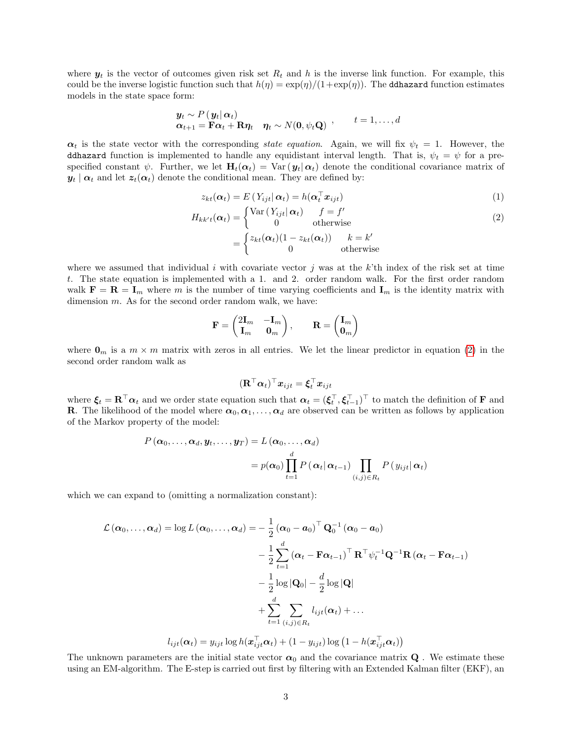where  $y_t$  is the vector of outcomes given risk set  $R_t$  and h is the inverse link function. For example, this could be the inverse logistic function such that  $h(\eta) = \exp(\eta)/(1+\exp(\eta))$ . The ddhazard function estimates models in the state space form:

$$
\begin{aligned} \mathbf{y}_t &\sim P\left(\mathbf{y}_t | \alpha_t\right) \\ \boldsymbol{\alpha}_{t+1} &= \mathbf{F} \boldsymbol{\alpha}_t + \mathbf{R} \boldsymbol{\eta}_t \quad \boldsymbol{\eta}_t \sim N(\mathbf{0}, \psi_t \mathbf{Q}) \end{aligned} \quad , \qquad t = 1, \dots, d
$$

 $\alpha_t$  is the state vector with the corresponding state equation. Again, we will fix  $\psi_t = 1$ . However, the ddhazard function is implemented to handle any equidistant interval length. That is,  $\psi_t = \psi$  for a prespecified constant  $\psi$ . Further, we let  $H_t(\alpha_t) = \text{Var}(\mathbf{y}_t | \alpha_t)$  denote the conditional covariance matrix of  $y_t | \alpha_t$  and let  $z_t(\alpha_t)$  denote the conditional mean. They are defined by:

<span id="page-2-0"></span>
$$
z_{kt}(\alpha_t) = E(Y_{ijt} | \alpha_t) = h(\alpha_t^\top x_{ijt})
$$
\n(1)

$$
H_{kk't}(\alpha_t) = \begin{cases} \text{Var}(Y_{ijt} | \alpha_t) & f = f' \\ 0 & \text{otherwise} \end{cases}
$$
  
= 
$$
\begin{cases} z_{kt}(\alpha_t)(1 - z_{kt}(\alpha_t)) & k = k' \\ 0 & \text{otherwise} \end{cases}
$$
 (2)

where we assumed that individual i with covariate vector j was at the k'th index of the risk set at time t. The state equation is implemented with a 1. and 2. order random walk. For the first order random walk  $\mathbf{F} = \mathbf{R} = \mathbf{I}_m$  where m is the number of time varying coefficients and  $\mathbf{I}_m$  is the identity matrix with dimension m. As for the second order random walk, we have:

$$
\mathbf{F} = \begin{pmatrix} 2\mathbf{I}_m & -\mathbf{I}_m \\ \mathbf{I}_m & \mathbf{0}_m \end{pmatrix}, \qquad \mathbf{R} = \begin{pmatrix} \mathbf{I}_m \\ \mathbf{0}_m \end{pmatrix}
$$

where  $\mathbf{0}_m$  is a  $m \times m$  matrix with zeros in all entries. We let the linear predictor in equation [\(2\)](#page-2-0) in the second order random walk as

$$
(\mathbf{R}^\top \boldsymbol{\alpha}_t)^\top \boldsymbol{x}_{ijt} = \boldsymbol{\xi}_t^\top \boldsymbol{x}_{ijt}
$$

where  $\xi_t = \mathbf{R}^\top \boldsymbol{\alpha}_t$  and we order state equation such that  $\boldsymbol{\alpha}_t = (\xi_t^\top, \xi_{t-1}^\top)^\top$  to match the definition of **F** and **R**. The likelihood of the model where  $\alpha_0, \alpha_1, \ldots, \alpha_d$  are observed can be written as follows by application of the Markov property of the model:

$$
P(\boldsymbol{\alpha}_0,\ldots,\boldsymbol{\alpha}_d,\boldsymbol{y}_t,\ldots,\boldsymbol{y}_T)=L(\boldsymbol{\alpha}_0,\ldots,\boldsymbol{\alpha}_d)
$$
  
=  $p(\boldsymbol{\alpha}_0)\prod_{t=1}^d P(\boldsymbol{\alpha}_t|\boldsymbol{\alpha}_{t-1})\prod_{(i,j)\in R_t} P(y_{ijt}|\boldsymbol{\alpha}_t)$ 

which we can expand to (omitting a normalization constant):

$$
\mathcal{L}(\boldsymbol{\alpha}_0, ..., \boldsymbol{\alpha}_d) = \log L(\boldsymbol{\alpha}_0, ..., \boldsymbol{\alpha}_d) = -\frac{1}{2} (\boldsymbol{\alpha}_0 - \boldsymbol{a}_0)^{\top} \mathbf{Q}_0^{-1} (\boldsymbol{\alpha}_0 - \boldsymbol{a}_0)
$$

$$
-\frac{1}{2} \sum_{t=1}^d (\boldsymbol{\alpha}_t - \mathbf{F} \boldsymbol{\alpha}_{t-1})^{\top} \mathbf{R}^{\top} \psi_t^{-1} \mathbf{Q}^{-1} \mathbf{R} (\boldsymbol{\alpha}_t - \mathbf{F} \boldsymbol{\alpha}_{t-1})
$$

$$
-\frac{1}{2} \log |\mathbf{Q}_0| - \frac{d}{2} \log |\mathbf{Q}|
$$

$$
+ \sum_{t=1}^d \sum_{(i,j) \in R_t} l_{ijt}(\boldsymbol{\alpha}_t) + ...
$$

$$
l_{ijt}(\boldsymbol{\alpha}_t) = y_{ijt} \log h(\boldsymbol{x}_{ijt}^{\top} \boldsymbol{\alpha}_t) + (1 - y_{ijt}) \log (1 - h(\boldsymbol{x}_{ijt}^{\top} \boldsymbol{\alpha}_t))
$$

The unknown parameters are the initial state vector  $\alpha_0$  and the covariance matrix **Q**. We estimate these using an EM-algorithm. The E-step is carried out first by filtering with an Extended Kalman filter (EKF), an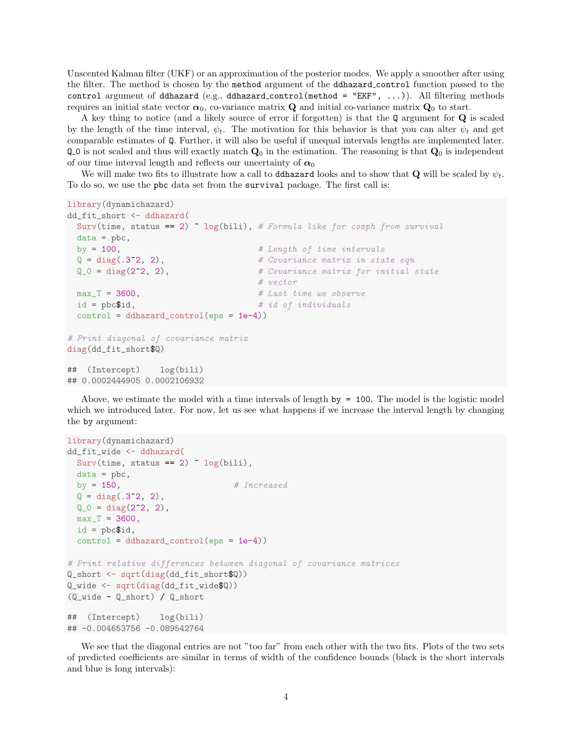Unscented Kalman filter (UKF) or an approximation of the posterior modes. We apply a smoother after using the filter. The method is chosen by the method argument of the ddhazard control function passed to the control argument of ddhazard (e.g., ddhazard\_control(method = "EKF", ...)). All filtering methods requires an initial state vector  $\alpha_0$ , co-variance matrix **Q** and initial co-variance matrix **Q**<sub>0</sub> to start.

A key thing to notice (and a likely source of error if forgotten) is that the Q argument for Q is scaled by the length of the time interval,  $\psi_t$ . The motivation for this behavior is that you can alter  $\psi_t$  and get comparable estimates of Q. Further, it will also be useful if unequal intervals lengths are implemented later.  $Q_0$  is not scaled and thus will exactly match  $Q_0$  in the estimation. The reasoning is that  $Q_0$  is independent of our time interval length and reflects our uncertainty of  $\alpha_0$ 

We will make two fits to illustrate how a call to ddhazard looks and to show that Q will be scaled by  $\psi_t$ . To do so, we use the pbc data set from the survival package. The first call is:

```
library(dynamichazard)
```

```
dd_fit_short <- ddhazard(
 Surv(time, status == 2) \degree log(bili), # Formula like for coxph from survival
 data = pbc,
 by = 100, \# Length of time intervals
 Q = diag(.3^2, 2), # Covariance matrix in state eqn
 Q_0 = diag(2^2, 2), # Covariance matrix for initial state
                                # vector
 max_T = 3600, # Last time we observeid = pbc$id, # id of individualscontrol = ddhazard_countrol(eps = 1e-4))# Print diagonal of covariance matrix
diag(dd_fit_short$Q)
## (Intercept) log(bili)
## 0.0002444905 0.0002106932
```
Above, we estimate the model with a time intervals of length by = 100. The model is the logistic model which we introduced later. For now, let us see what happens if we increase the interval length by changing the by argument:

```
library(dynamichazard)
dd_fit_wide <- ddhazard(
 Surv(time, status == 2) \sim log(bili),
 data = pbc,
 by = 150, \# Increased
 Q = diag(.3^2, 2),
 Q_0 = diag(2^2, 2),
 max_T = 3600,id = pbc$id,
 control = ddhazard_countcol(eps = 1e-4))# Print relative differences between diagonal of covariance matrices
Q_short <- sqrt(diag(dd_fit_short$Q))
Q_wide <- sqrt(diag(dd_fit_wide$Q))
(Q_wide - Q_short) / Q_short
## (Intercept) log(bili)
## -0.004653756 -0.089542764
```
We see that the diagonal entries are not "too far" from each other with the two fits. Plots of the two sets of predicted coefficients are similar in terms of width of the confidence bounds (black is the short intervals and blue is long intervals):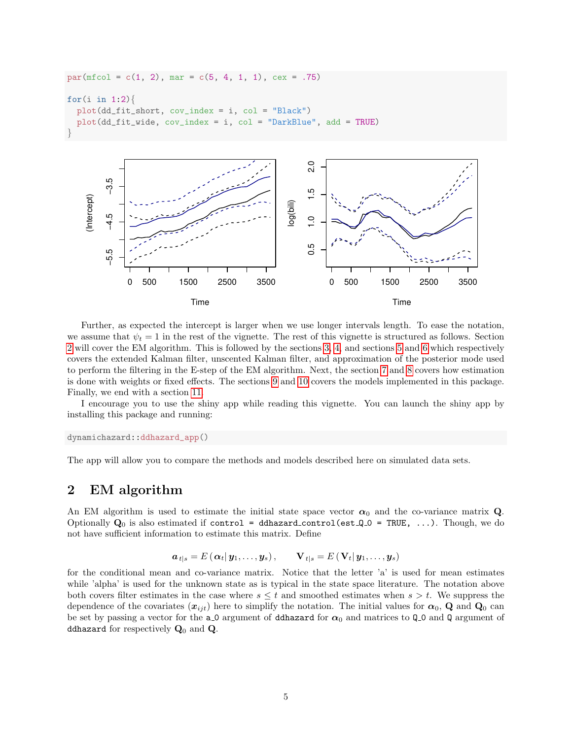```
par(mfcol = c(1, 2), mar = c(5, 4, 1, 1), cex = .75)for(i in 1:2){
  plot(dd_fit_short, cov_index = i, col = "Black")
  plot(dd_fit_wide, cov_index = i, col = "DarkBlue", add = TRUE)
}
```


Further, as expected the intercept is larger when we use longer intervals length. To ease the notation, we assume that  $\psi_t = 1$  in the rest of the vignette. The rest of this vignette is structured as follows. Section [2](#page-4-0) will cover the EM algorithm. This is followed by the sections [3,](#page-5-0) [4,](#page-8-0) and sections [5](#page-13-0) and [6](#page-16-0) which respectively covers the extended Kalman filter, unscented Kalman filter, and approximation of the posterior mode used to perform the filtering in the E-step of the EM algorithm. Next, the section [7](#page-18-0) and [8](#page-19-0) covers how estimation is done with weights or fixed effects. The sections [9](#page-21-0) and [10](#page-22-0) covers the models implemented in this package. Finally, we end with a section [11.](#page-23-0)

I encourage you to use the shiny app while reading this vignette. You can launch the shiny app by installing this package and running:

dynamichazard::ddhazard\_app()

The app will allow you to compare the methods and models described here on simulated data sets.

# <span id="page-4-0"></span>2 EM algorithm

An EM algorithm is used to estimate the initial state space vector  $\alpha_0$  and the co-variance matrix Q. Optionally  $Q_0$  is also estimated if control = ddhazard\_control(est  $Q_0$  = TRUE, ...). Though, we do not have sufficient information to estimate this matrix. Define

$$
\boldsymbol{a}_{t|s} = E(\boldsymbol{\alpha}_t | \boldsymbol{y}_1, \dots, \boldsymbol{y}_s), \qquad \mathbf{V}_{t|s} = E(\mathbf{V}_t | \boldsymbol{y}_1, \dots, \boldsymbol{y}_s)
$$

for the conditional mean and co-variance matrix. Notice that the letter 'a' is used for mean estimates while 'alpha' is used for the unknown state as is typical in the state space literature. The notation above both covers filter estimates in the case where  $s \leq t$  and smoothed estimates when  $s > t$ . We suppress the dependence of the covariates  $(x_{ijt})$  here to simplify the notation. The initial values for  $\alpha_0$ , Q and Q<sub>0</sub> can be set by passing a vector for the a  $\circ$  argument of ddhazard for  $\alpha_0$  and matrices to Q  $\circ$  and Q argument of ddhazard for respectively  $\mathbf{Q}_0$  and  $\mathbf{Q}$ .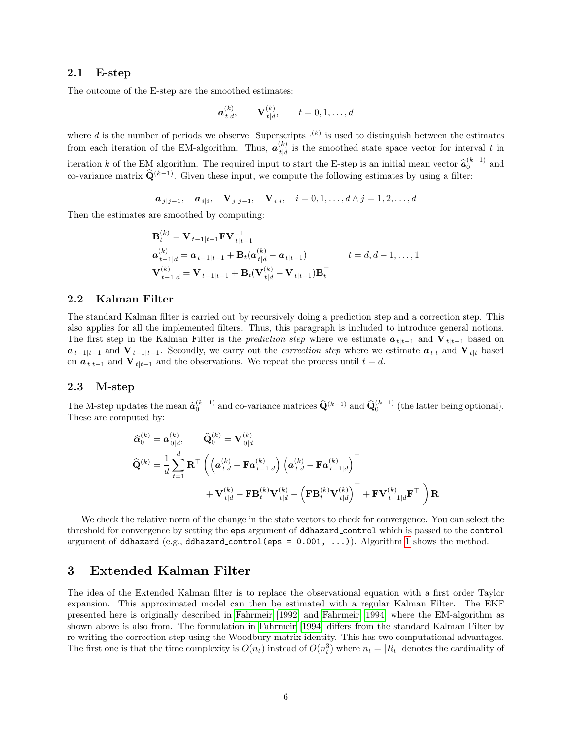## 2.1 E-step

The outcome of the E-step are the smoothed estimates:

$$
\boldsymbol{a}_{t|d}^{(k)}, \qquad \mathbf{V}_{t|d}^{(k)}, \qquad t = 0, 1, \dots, d
$$

where d is the number of periods we observe. Superscripts  $(k)$  is used to distinguish between the estimates from each iteration of the EM-algorithm. Thus,  $\boldsymbol{a}_{t,d}^{(k)}$  $t_{d}^{(\kappa)}$  is the smoothed state space vector for interval t in iteration k of the EM algorithm. The required input to start the E-step is an initial mean vector  $\hat{a}_0^{(k-1)}$  and co-variance matrix  $\widehat{\mathbf{Q}}^{(k-1)}$ . Given these input, we compute the following estimates by using a filter:

$$
\boldsymbol{a}_{j|j-1}, \quad \boldsymbol{a}_{i|i}, \quad \mathbf{V}_{j|j-1}, \quad \mathbf{V}_{i|i}, \quad i = 0, 1, \dots, d \wedge j = 1, 2, \dots, d
$$

Then the estimates are smoothed by computing:  $\lambda$ 

$$
\mathbf{B}_{t}^{(k)} = \mathbf{V}_{t-1|t-1}\mathbf{F}\mathbf{V}_{t|t-1}^{-1}
$$
\n
$$
\mathbf{a}_{t-1|d}^{(k)} = \mathbf{a}_{t-1|t-1} + \mathbf{B}_{t}(\mathbf{a}_{t|d}^{(k)} - \mathbf{a}_{t|t-1}) \qquad t = d, d-1, \dots, 1
$$
\n
$$
\mathbf{V}_{t-1|d}^{(k)} = \mathbf{V}_{t-1|t-1} + \mathbf{B}_{t}(\mathbf{V}_{t|d}^{(k)} - \mathbf{V}_{t|t-1})\mathbf{B}_{t}^{\top}
$$

## 2.2 Kalman Filter

The standard Kalman filter is carried out by recursively doing a prediction step and a correction step. This also applies for all the implemented filters. Thus, this paragraph is included to introduce general notions. The first step in the Kalman Filter is the *prediction step* where we estimate  $a_{t|t-1}$  and  $V_{t|t-1}$  based on  $a_{t-1|t-1}$  and  $V_{t-1|t-1}$ . Secondly, we carry out the *correction step* where we estimate  $a_{t|t}$  and  $V_{t|t}$  based on  $a_{t|t-1}$  and  $V_{t|t-1}$  and the observations. We repeat the process until  $t = d$ .

### 2.3 M-step

The M-step updates the mean  $\hat{a}_0^{(k-1)}$  and co-variance matrices  $\hat{\mathbf{Q}}^{(k-1)}$  and  $\hat{\mathbf{Q}}_0^{(k-1)}$  (the latter being optional). These are computed by:

$$
\begin{aligned} \widehat{\mathbf{Q}}_{0}^{(k)} &= \mathbf{a}_{0|d}^{(k)}, \qquad \widehat{\mathbf{Q}}_{0}^{(k)} = \mathbf{V}_{0|d}^{(k)} \\ \widehat{\mathbf{Q}}^{(k)} &= \frac{1}{d} \sum_{t=1}^{d} \mathbf{R}^{\top} \left( \left( \mathbf{a}_{t|d}^{(k)} - \mathbf{F} \mathbf{a}_{t-1|d}^{(k)} \right) \left( \mathbf{a}_{t|d}^{(k)} - \mathbf{F} \mathbf{a}_{t-1|d}^{(k)} \right)^{\top} \\ &+ \mathbf{V}_{t|d}^{(k)} - \mathbf{F} \mathbf{B}_{t}^{(k)} \mathbf{V}_{t|d}^{(k)} - \left( \mathbf{F} \mathbf{B}_{t}^{(k)} \mathbf{V}_{t|d}^{(k)} \right)^{\top} + \mathbf{F} \mathbf{V}_{t-1|d}^{(k)} \mathbf{F}^{\top} \right) \mathbf{R} \end{aligned}
$$

We check the relative norm of the change in the state vectors to check for convergence. You can select the threshold for convergence by setting the eps argument of ddhazard control which is passed to the control argument of ddhazard (e.g., ddhazard\_control(eps =  $0.001, ...$ )). Algorithm [1](#page-6-0) shows the method.

# <span id="page-5-0"></span>3 Extended Kalman Filter

The idea of the Extended Kalman filter is to replace the observational equation with a first order Taylor expansion. This approximated model can then be estimated with a regular Kalman Filter. The EKF presented here is originally described in [Fahrmeir \[1992\]](#page-25-0) and [Fahrmeir](#page-25-1) [\[1994\]](#page-25-1) where the EM-algorithm as shown above is also from. The formulation in [Fahrmeir \[1994\]](#page-25-1) differs from the standard Kalman Filter by re-writing the correction step using the Woodbury matrix identity. This has two computational advantages. The first one is that the time complexity is  $O(n_t)$  instead of  $O(n_t^3)$  where  $n_t = |R_t|$  denotes the cardinality of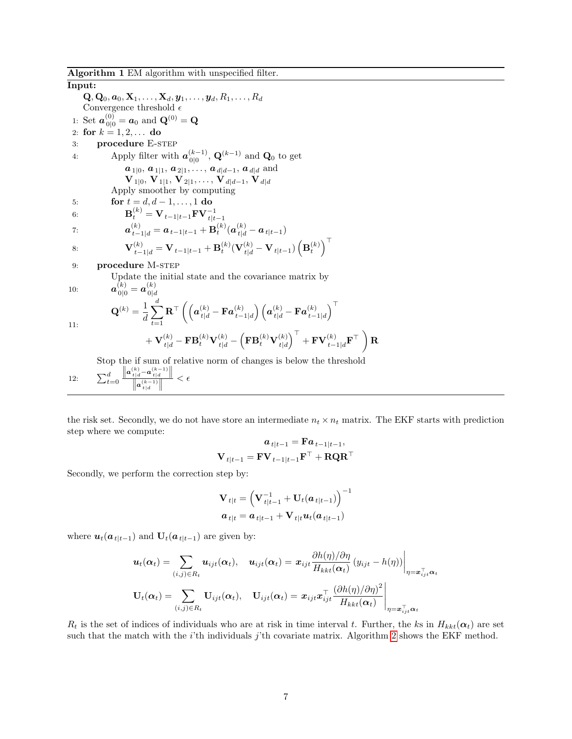<span id="page-6-0"></span>Input:  ${\bf Q}, {\bf Q}_0, {\bf a}_0, {\bf X}_1, \ldots, {\bf X}_d, {\bf y}_1, \ldots, {\bf y}_d, R_1, \ldots, R_d$ Convergence threshold  $\epsilon$ 1: Set  $a_{0|0}^{(0)} = a_0$  and  ${\bf Q}^{(0)} = {\bf Q}$ 2: for  $k = 1, 2, ...$  do 3: **procedure E-STEP** 4: Apply filter with  $\boldsymbol{a}_{0|0}^{(k-1)}$  $\mathbf{Q}_{0|0}^{(k-1)}$ ,  $\mathbf{Q}^{(k-1)}$  and  $\mathbf{Q}_{0}$  to get  $a_{1|0}, a_{1|1}, a_{2|1}, \ldots, a_{d|d-1}, a_{d|d}$  and  ${\bf V}_{1|0},\,{\bf V}_{1|1},\,{\bf V}_{2|1},\ldots,\,{\bf V}_{d|d-1},\,{\bf V}_{d|d}$ Apply smoother by computing 5: **for**  $t = d, d - 1, ..., 1$  do 6:  ${\bf B}_t^{(k)} = {\bf V}_{t-1|t-1}{\bf F}{\bf V}_{t|t-1}^{-1}$ 7:  $\bm{a}_{t-1|d}^{(k)} = \bm{a}_{t-1|t-1} + \mathbf{B}_t^{(k)}(\bm{a}_{t|d}^{(k)} - \bm{a}_{t|t-1})$ 8:  ${\bf V}_{t-1|d}^{(k)} = {\bf V}_{t-1|t-1} + {\bf B}_t^{(k)} ({\bf V}_{t|d}^{(k)} - {\bf V}_{t|t-1}) \left( {\bf B}_t^{(k)} \right)^\top$ 9: **procedure** M-STEP Update the initial state and the covariance matrix by  $10:$  $\overset{(k)}{\stackrel{0}{_{0}}\shortmid 0}=\boldsymbol{a}_{0|d}^{(k)}$  $0|d$ 11:  ${\bf Q}^{(k)} = \frac{1}{4}$ d  $\stackrel{d}{\blacktriangle}$  $t=1$  $\mathbf{R}^{\top}\left(\left(\bm{a}_{t|d}^{(k)} - \mathbf{F}\bm{a}_{t-}^{(k)}\right) \right.$  $\left(\begin{matrix} (k)\ t-1\vert d \end{matrix}\right) \left(\begin{matrix} \boldsymbol{a}^{(k)}_{t\vert d} - \mathbf{F}\boldsymbol{a}^{(k)}_{t-1} \end{matrix}\right)$  $t-1|d$ <sup>⊤</sup>  $+ {\bf V}_{t|d}^{(k)}-{\bf FB}_t^{(k)}{\bf V}_{t|d}^{(k)} \left(\mathbf{FB}_{t}^{(k)}\mathbf{V}_{t|d}^{(k)}\right)$  $t|d$  $\Big)^{\top}+{\bf F}{\bf V}^{(k)}_{t-1|d}{\bf F}^{\top}\ \Bigg)$ 

Stop the if sum of relative norm of changes is below the threshold

12:  $\sum_{t=0}^{d}$  $\|\bm{a}_{t|d}^{(k)} - \bm{a}_{t|d}^{(k-1)}\|$  $\frac{1}{t|d}$  –  $\mathbf{a}^{(k-1)}$ <br> $\frac{1}{t|d}$ <br> $\mathbf{a}^{(k-1)}$ <br> $\frac{1}{t|d}$  $\frac{d}{\|\cdot\|} < \epsilon$ 

the risk set. Secondly, we do not have store an intermediate  $n_t \times n_t$  matrix. The EKF starts with prediction step where we compute:

R

$$
\boldsymbol{a}_{t|t-1} = \boldsymbol{\mathrm{F}} \boldsymbol{a}_{t-1|t-1},
$$
  

$$
\boldsymbol{\mathrm{V}}_{t|t-1} = \boldsymbol{\mathrm{F}} \boldsymbol{\mathrm{V}}_{t-1|t-1} \boldsymbol{\mathrm{F}}^\top + \boldsymbol{\mathrm{R}} \boldsymbol{\mathrm{Q}} \boldsymbol{\mathrm{R}}^\top
$$

Secondly, we perform the correction step by:

$$
\begin{aligned} \mathbf{V}_{t|t} & = \left(\mathbf{V}_{t|t-1}^{-1} + \mathbf{U}_{t}(\bm{a}_{t|t-1})\right)^{-1} \\ \bm{a}_{t|t} & = \bm{a}_{t|t-1} + \mathbf{V}_{t|t} \bm{u}_{t}(\bm{a}_{t|t-1}) \end{aligned}
$$

where  $u_t(a_{t|t-1})$  and  $U_t(a_{t|t-1})$  are given by:

$$
\mathbf{u}_t(\alpha_t) = \sum_{(i,j)\in R_t} \mathbf{u}_{ijt}(\alpha_t), \quad \mathbf{u}_{ijt}(\alpha_t) = \mathbf{x}_{ijt} \frac{\partial h(\eta)/\partial \eta}{H_{kkt}(\alpha_t)} (y_{ijt} - h(\eta)) \Big|_{\eta = \mathbf{x}_{ijt}^\top \alpha_t}
$$
  

$$
\mathbf{U}_t(\alpha_t) = \sum_{(i,j)\in R_t} \mathbf{U}_{ijt}(\alpha_t), \quad \mathbf{U}_{ijt}(\alpha_t) = \mathbf{x}_{ijt} \mathbf{x}_{ijt}^\top \frac{(\partial h(\eta)/\partial \eta)^2}{H_{kkt}(\alpha_t)} \Big|_{\eta = \mathbf{x}_{ijt}^\top \alpha_t}
$$

 $R_t$  is the set of indices of individuals who are at risk in time interval t. Further, the ks in  $H_{kkt}(\alpha_t)$  are set such that the match with the *i*'th individuals *j*'th covariate matrix. Algorithm [2](#page-7-0) shows the EKF method.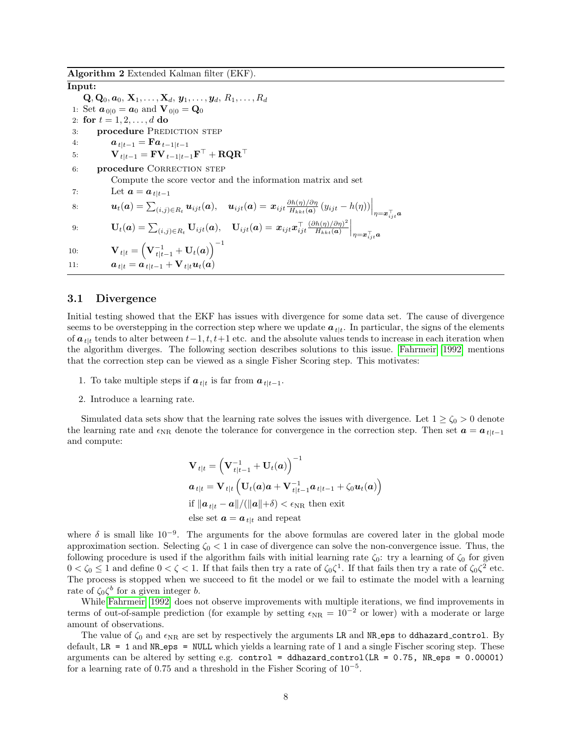<span id="page-7-0"></span>Algorithm 2 Extended Kalman filter (EKF).

Input:  $\mathbf{Q}, \mathbf{Q}_0, \boldsymbol{a}_0, \,\mathbf{X}_1, \dots, \mathbf{X}_d, \, \boldsymbol{y}_1, \dots, \boldsymbol{y}_d, \, R_1, \dots, R_d$ 1: Set  $a_{0|0} = a_0$  and  $V_{0|0} = Q_0$ 2: for  $t = 1, 2, ..., d$  do 3: **procedure PREDICTION STEP** 4:  $a_{t|t-1} = \mathbf{F}a_{t-1|t-1}$  $5: \hspace{1cm} {{\mathbf{V}}_{t}}_{|t-1} = {\mathbf{F}}{{\mathbf{V}}_{t-1}}_{|t-1}{\mathbf{F}}^{\top} + {\mathbf{R}}{\mathbf{Q}}{\mathbf{R}}^{\top}$ 6: procedure CORRECTION STEP Compute the score vector and the information matrix and set 7: Let  $a = a_{t|t-1}$ 8:  $\bm{u}_t(\bm{a}) = \sum_{(i,j) \in R_t} \bm{u}_{ijt}(\bm{a}), \quad \bm{u}_{ijt}(\bm{a}) = \bm{x}_{ijt} \frac{\partial h(\eta)/\partial \eta}{H_{kkt}(\bm{a})}$  $\left. \frac{\partial h(\eta)/\partial \eta}{H_{kkt}(\bm{a})} \left( y_{ijt} - h(\eta) \right) \right|_{\eta = \bm{x}_{ijt}^\top \bm{a}}$ 9:  $\mathbf{U}_t(\boldsymbol{a}) = \sum_{(i,j) \in R_t} \mathbf{U}_{ijt}(\boldsymbol{a}), \quad \mathbf{U}_{ijt}(\boldsymbol{a}) = \boldsymbol{x}_{ijt} \boldsymbol{x}_{ijt}^\top \frac{(\partial h(\eta)/\partial \eta)^2}{H_{kkt}(\boldsymbol{a})}$  $H_{kkt}(\boldsymbol{a})$  $\Big|_{\eta = \boldsymbol{x}_{ijt}^{\top} \boldsymbol{a}}$  $\mathbf{U}_{t|t} = \left(\mathbf{V}_{t|t-1}^{-1} + \mathbf{U}_{t}(\boldsymbol{a})\right)^{-1}$ 11:  $a_{t|t} = a_{t|t-1} + V_{t|t}u_t(a)$ 

#### 3.1 Divergence

Initial testing showed that the EKF has issues with divergence for some data set. The cause of divergence seems to be overstepping in the correction step where we update  $a_{t|t}$ . In particular, the signs of the elements of  $a_{t}$  tends to alter between  $t-1, t, t+1$  etc. and the absolute values tends to increase in each iteration when the algorithm diverges. The following section describes solutions to this issue. [Fahrmeir \[1992\]](#page-25-0) mentions that the correction step can be viewed as a single Fisher Scoring step. This motivates:

- 1. To take multiple steps if  $a_{t|t}$  is far from  $a_{t|t-1}$ .
- 2. Introduce a learning rate.

Simulated data sets show that the learning rate solves the issues with divergence. Let  $1 \ge \zeta_0 > 0$  denote the learning rate and  $\epsilon_{NR}$  denote the tolerance for convergence in the correction step. Then set  $\boldsymbol{a} = \boldsymbol{a}_{t|t-1}$ and compute:

$$
\mathbf{V}_{t|t} = \left(\mathbf{V}_{t|t-1}^{-1} + \mathbf{U}_{t}(a)\right)^{-1}
$$
\n
$$
a_{t|t} = \mathbf{V}_{t|t} \left(\mathbf{U}_{t}(a)a + \mathbf{V}_{t|t-1}^{-1} a_{t|t-1} + \zeta_0 u_t(a)\right)
$$
\nif  $\|\mathbf{a}_{t|t} - \mathbf{a}\| / (\|\mathbf{a}\| + \delta) < \epsilon_{\text{NR}}$  then exit

\nelse set  $\mathbf{a} = \mathbf{a}_{t|t}$  and repeat

where  $\delta$  is small like  $10^{-9}$ . The arguments for the above formulas are covered later in the global mode approximation section. Selecting  $\zeta_0 < 1$  in case of divergence can solve the non-convergence issue. Thus, the following procedure is used if the algorithm fails with initial learning rate  $\zeta_0$ : try a learning of  $\zeta_0$  for given  $0 < \zeta_0 \leq 1$  and define  $0 < \zeta < 1$ . If that fails then try a rate of  $\zeta_0 \zeta^1$ . If that fails then try a rate of  $\zeta_0 \zeta^2$  etc. The process is stopped when we succeed to fit the model or we fail to estimate the model with a learning rate of  $\zeta_0 \zeta^b$  for a given integer b.

While [Fahrmeir \[1992\]](#page-25-0) does not observe improvements with multiple iterations, we find improvements in terms of out-of-sample prediction (for example by setting  $\epsilon_{NR} = 10^{-2}$  or lower) with a moderate or large amount of observations.

The value of  $\zeta_0$  and  $\epsilon_{\rm NR}$  are set by respectively the arguments LR and NR eps to ddhazard control. By default, LR = 1 and NR eps = NULL which yields a learning rate of 1 and a single Fischer scoring step. These arguments can be altered by setting e.g. control = ddhazard\_control(LR =  $0.75$ , NR eps =  $0.00001$ ) for a learning rate of 0.75 and a threshold in the Fisher Scoring of  $10^{-5}$ .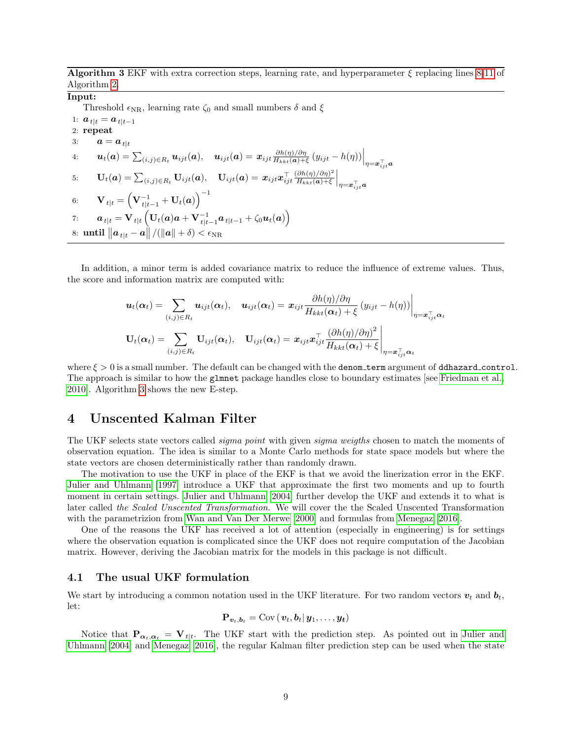<span id="page-8-1"></span>**Algorithm 3** EKF with extra correction steps, learning rate, and hyperparameter  $\xi$  replacing lines [8-11](#page-7-0) of Algorithm [2.](#page-7-0)

## Input:

Threshold  $\epsilon_{NR}$ , learning rate  $\zeta_0$  and small numbers  $\delta$  and  $\xi$ 

1:  $a_{t|t} = a_{t|t-1}$ 2: repeat 3:  $a = a_{t|t}$  $u_t(\boldsymbol{a}) = \sum_{(i,j) \in R_t} \boldsymbol{u}_{ijt}(\boldsymbol{a}), \quad \boldsymbol{u}_{ijt}(\boldsymbol{a}) = \boldsymbol{x}_{ijt} \frac{\partial h(\eta)/\partial \eta}{H_{kkt}(\boldsymbol{a})+1}$  $\frac{\partial h(\eta)/\partial \eta}{H_{kkt}(\boldsymbol{a})+\xi} (y_{ijt} - h(\eta))\Big|_{\eta = \boldsymbol{x}_{ijt}^\top \boldsymbol{a}}$  $\textbf{U}_t(\boldsymbol{a}) = \sum_{(i,j) \in R_t} \mathbf{U}_{ijt}(\boldsymbol{a}), \quad \mathbf{U}_{ijt}(\boldsymbol{a}) = \boldsymbol{x}_{ijt} \boldsymbol{x}_{ijt}^\top \frac{(\partial h(\eta)/\partial \eta)^2}{H_{kkt}(\boldsymbol{a}) + \xi}$  $H_{kkt}(\boldsymbol{a})+\xi$  $\Big|_{\eta = \boldsymbol{x}_{ijt}^\top \boldsymbol{a}}$ 6:  $\qquad \mathbf{V}_{t|t} = \left( \mathbf{V}_{t|t-1}^{-1} + \mathbf{U}_{t}(\boldsymbol{a}) \right)^{-1}$  $\sigma_{t} = \mathbf{V}_{t|t}\left(\mathbf{U}_t(\boldsymbol{a})\boldsymbol{a} + \mathbf{V}_{t|t-1}^{-1}\boldsymbol{a}_{t|t-1} + \zeta_0\boldsymbol{u}_t(\boldsymbol{a})\right),$ 8:  $\textbf{until } \left\|\bm{a}_{t|t} - \bm{a}\right\| / (\left\|\bm{a}\right\| + \delta) < \epsilon_{\text{NR}}$ 

In addition, a minor term is added covariance matrix to reduce the influence of extreme values. Thus, the score and information matrix are computed with:

$$
\mathbf{u}_{t}(\alpha_{t}) = \sum_{(i,j) \in R_{t}} \mathbf{u}_{ijt}(\alpha_{t}), \quad \mathbf{u}_{ijt}(\alpha_{t}) = \mathbf{x}_{ijt} \frac{\partial h(\eta)/\partial \eta}{H_{kkt}(\alpha_{t}) + \xi} (y_{ijt} - h(\eta)) \Big|_{\eta = \mathbf{x}_{ijt}^{\top} \alpha_{t}}
$$

$$
\mathbf{U}_{t}(\alpha_{t}) = \sum_{(i,j) \in R_{t}} \mathbf{U}_{ijt}(\alpha_{t}), \quad \mathbf{U}_{ijt}(\alpha_{t}) = \mathbf{x}_{ijt} \mathbf{x}_{ijt}^{\top} \frac{(\partial h(\eta)/\partial \eta)^{2}}{H_{kkt}(\alpha_{t}) + \xi} \Big|_{\eta = \mathbf{x}_{ijt}^{\top} \alpha_{t}}
$$

where  $\xi > 0$  is a small number. The default can be changed with the denom term argument of ddhazard control. The approach is similar to how the glmnet package handles close to boundary estimates [see [Friedman et al.,](#page-25-2) [2010\]](#page-25-2). Algorithm [3](#page-8-1) shows the new E-step.

## <span id="page-8-0"></span>4 Unscented Kalman Filter

The UKF selects state vectors called *sigma point* with given *sigma weigths* chosen to match the moments of observation equation. The idea is similar to a Monte Carlo methods for state space models but where the state vectors are chosen deterministically rather than randomly drawn.

The motivation to use the UKF in place of the EKF is that we avoid the linerization error in the EKF. [Julier and Uhlmann \[1997\]](#page-25-3) introduce a UKF that approximate the first two moments and up to fourth moment in certain settings. [Julier and Uhlmann \[2004\]](#page-25-4) further develop the UKF and extends it to what is later called the Scaled Unscented Transformation. We will cover the the Scaled Unscented Transformation with the parametrizion from [Wan and Van Der Merwe \[2000\]](#page-25-5) and formulas from [Menegaz \[2016\]](#page-25-6).

One of the reasons the UKF has received a lot of attention (especially in engineering) is for settings where the observation equation is complicated since the UKF does not require computation of the Jacobian matrix. However, deriving the Jacobian matrix for the models in this package is not difficult.

## 4.1 The usual UKF formulation

We start by introducing a common notation used in the UKF literature. For two random vectors  $v_t$  and  $b_t$ , let:

$$
\mathbf{P}_{\boldsymbol{v}_t,\boldsymbol{b}_t} = \text{Cov}(\boldsymbol{v}_t,\boldsymbol{b}_t|\boldsymbol{y}_1,\ldots,\boldsymbol{y_t})
$$

Notice that  $\mathbf{P}_{\alpha_t,\alpha_t} = \mathbf{V}_{t|t}$ . The UKF start with the prediction step. As pointed out in [Julier and](#page-25-4) [Uhlmann \[2004\]](#page-25-4) and [Menegaz \[2016\]](#page-25-6), the regular Kalman filter prediction step can be used when the state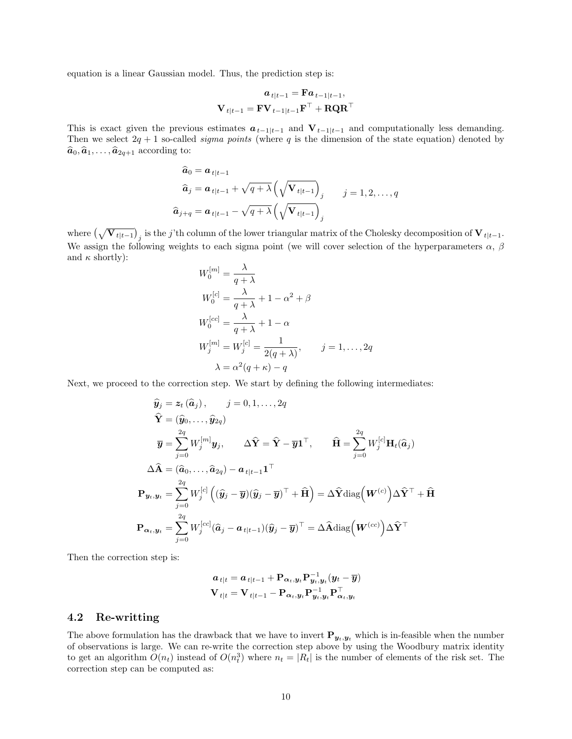equation is a linear Gaussian model. Thus, the prediction step is:

$$
\begin{aligned} \boldsymbol{a}_{t|t-1} & = \mathbf{F} \boldsymbol{a}_{t-1|t-1}, \\ \mathbf{V}_{t|t-1} & = \mathbf{F} \mathbf{V}_{t-1|t-1} \mathbf{F}^{\top} + \mathbf{R} \mathbf{Q} \mathbf{R}^{\top} \end{aligned}
$$

This is exact given the previous estimates  $a_{t-1|t-1}$  and  $V_{t-1|t-1}$  and computationally less demanding. Then we select  $2q + 1$  so-called *sigma points* (where q is the dimension of the state equation) denoted by  $\widehat{\boldsymbol{a}}_0, \widehat{\boldsymbol{a}}_1, \ldots, \widehat{\boldsymbol{a}}_{2q+1}$  according to:

$$
\begin{aligned}\n\widehat{\mathbf{a}}_{0} &= \mathbf{a}_{t|t-1} \\
\widehat{\mathbf{a}}_{j} &= \mathbf{a}_{t|t-1} + \sqrt{q + \lambda} \left( \sqrt{\mathbf{V}_{t|t-1}} \right)_{j} \\
\widehat{\mathbf{a}}_{j+q} &= \mathbf{a}_{t|t-1} - \sqrt{q + \lambda} \left( \sqrt{\mathbf{V}_{t|t-1}} \right)_{j}\n\end{aligned}
$$
\n $j = 1, 2, \ldots, q$ 

where  $(\sqrt{\mathbf{V}_{t|t-1}})_j$  is the j'th column of the lower triangular matrix of the Cholesky decomposition of  $\mathbf{V}_{t|t-1}$ . We assign the following weights to each sigma point (we will cover selection of the hyperparameters  $\alpha$ ,  $\beta$ and  $\kappa$  shortly):

$$
W_0^{[m]} = \frac{\lambda}{q + \lambda}
$$
  
\n
$$
W_0^{[c]} = \frac{\lambda}{q + \lambda} + 1 - \alpha^2 + \beta
$$
  
\n
$$
W_0^{[cc]} = \frac{\lambda}{q + \lambda} + 1 - \alpha
$$
  
\n
$$
W_j^{[m]} = W_j^{[c]} = \frac{1}{2(q + \lambda)}, \qquad j = 1, ..., 2q
$$
  
\n
$$
\lambda = \alpha^2(q + \kappa) - q
$$

Next, we proceed to the correction step. We start by defining the following intermediates:

$$
\hat{\mathbf{y}}_{j} = \mathbf{z}_{t} (\hat{\mathbf{a}}_{j}), \qquad j = 0, 1, ..., 2q
$$
\n
$$
\hat{\mathbf{Y}} = (\hat{\mathbf{y}}_{0}, ..., \hat{\mathbf{y}}_{2q})
$$
\n
$$
\overline{\mathbf{y}} = \sum_{j=0}^{2q} W_{j}^{[m]} \mathbf{y}_{j}, \qquad \Delta \hat{\mathbf{Y}} = \hat{\mathbf{Y}} - \overline{\mathbf{y}} \mathbf{1}^{\top}, \qquad \hat{\mathbf{H}} = \sum_{j=0}^{2q} W_{j}^{[c]} \mathbf{H}_{t} (\hat{\mathbf{a}}_{j})
$$
\n
$$
\Delta \hat{\mathbf{A}} = (\hat{\mathbf{a}}_{0}, ..., \hat{\mathbf{a}}_{2q}) - \mathbf{a}_{t|t-1} \mathbf{1}^{\top}
$$
\n
$$
\mathbf{P}_{\mathbf{y}_{t}, \mathbf{y}_{t}} = \sum_{j=0}^{2q} W_{j}^{[c]} \left( (\hat{\mathbf{y}}_{j} - \overline{\mathbf{y}})(\hat{\mathbf{y}}_{j} - \overline{\mathbf{y}})^{\top} + \widehat{\mathbf{H}} \right) = \Delta \hat{\mathbf{Y}} \text{diag}\left(\mathbf{W}^{(c)}\right) \Delta \hat{\mathbf{Y}}^{\top} + \widehat{\mathbf{H}}
$$
\n
$$
\mathbf{P}_{\alpha_{t}, \mathbf{y}_{t}} = \sum_{j=0}^{2q} W_{j}^{[cc]} (\hat{\mathbf{a}}_{j} - \mathbf{a}_{t|t-1}) (\hat{\mathbf{y}}_{j} - \overline{\mathbf{y}})^{\top} = \Delta \hat{\mathbf{A}} \text{diag}\left(\mathbf{W}^{(cc)}\right) \Delta \hat{\mathbf{Y}}^{\top}
$$

Then the correction step is:

$$
\begin{aligned} \boldsymbol{a}_{t|t} &= \boldsymbol{a}_{t|t-1} + \mathbf{P}_{\boldsymbol{\alpha}_t,\boldsymbol{y}_t} \mathbf{P}_{\boldsymbol{y}_t,\boldsymbol{y}_t}^{-1} (\boldsymbol{y}_t - \overline{\boldsymbol{y}}) \\ \mathbf{V}_{t|t} &= \mathbf{V}_{t|t-1} - \mathbf{P}_{\boldsymbol{\alpha}_t,\boldsymbol{y}_t} \mathbf{P}_{\boldsymbol{y}_t,\boldsymbol{y}_t}^{-1} \mathbf{P}_{\boldsymbol{\alpha}_t,\boldsymbol{y}_t}^\top \end{aligned}
$$

### 4.2 Re-writting

The above formulation has the drawback that we have to invert  $P_{y_t,y_t}$  which is in-feasible when the number of observations is large. We can re-write the correction step above by using the Woodbury matrix identity to get an algorithm  $O(n_t)$  instead of  $O(n_t^3)$  where  $n_t = |R_t|$  is the number of elements of the risk set. The correction step can be computed as: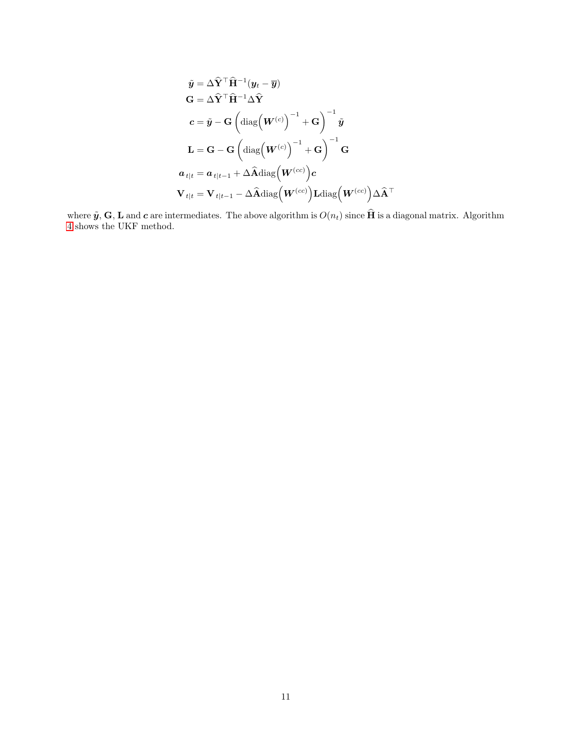$$
\tilde{\mathbf{y}} = \Delta \hat{\mathbf{Y}}^{\top} \hat{\mathbf{H}}^{-1} (\mathbf{y}_{t} - \overline{\mathbf{y}})
$$
\n
$$
\mathbf{G} = \Delta \hat{\mathbf{Y}}^{\top} \hat{\mathbf{H}}^{-1} \Delta \hat{\mathbf{Y}}
$$
\n
$$
\mathbf{c} = \tilde{\mathbf{y}} - \mathbf{G} \left( \text{diag} \left( \mathbf{W}^{(c)} \right)^{-1} + \mathbf{G} \right)^{-1} \tilde{\mathbf{y}}
$$
\n
$$
\mathbf{L} = \mathbf{G} - \mathbf{G} \left( \text{diag} \left( \mathbf{W}^{(c)} \right)^{-1} + \mathbf{G} \right)^{-1} \mathbf{G}
$$
\n
$$
\mathbf{a}_{t|t} = \mathbf{a}_{t|t-1} + \Delta \hat{\mathbf{A}} \text{diag} \left( \mathbf{W}^{(cc)} \right) \mathbf{c}
$$
\n
$$
\mathbf{V}_{t|t} = \mathbf{V}_{t|t-1} - \Delta \hat{\mathbf{A}} \text{diag} \left( \mathbf{W}^{(cc)} \right) \mathbf{L} \text{diag} \left( \mathbf{W}^{(cc)} \right) \Delta \hat{\mathbf{A}}^{\top}
$$

where  $\tilde{y}$ ,  $\mathbf{G}$ ,  $\mathbf{L}$  and  $\boldsymbol{c}$  are intermediates. The above algorithm is  $O(n_t)$  since  $\mathbf{H}$  is a diagonal matrix. Algorithm [4](#page-11-0) shows the UKF method.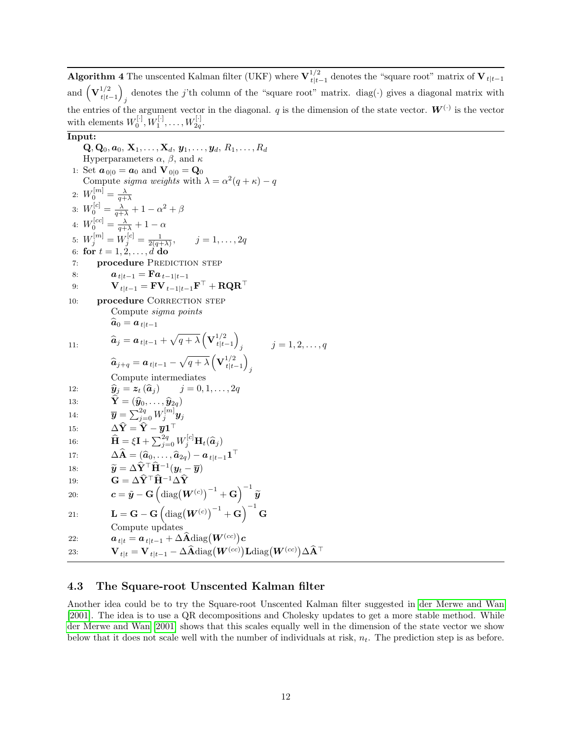<span id="page-11-0"></span>**Algorithm 4** The unscented Kalman filter (UKF) where  $V_{\text{th}}^{1/2}$  $t_{t|t-1}^{1/2}$  denotes the "square root" matrix of  $V_{t|t-1}$ and  $(\mathbf{V}_{t|t}^{1/2})$  $t|t-1$ ) denotes the j'th column of the "square root" matrix. diag( $\cdot$ ) gives a diagonal matrix with the entries of the argument vector in the diagonal. q is the dimension of the state vector.  $\mathbf{W}^{(\cdot)}$  is the vector with elements  $W_0^{[\cdot]}, W_1^{[\cdot]}, \ldots, W_{2q}^{[\cdot]}$ .

## Input:

Q, Q<sub>0</sub>, a<sub>0</sub>, X<sub>1</sub>,..., X<sub>d</sub>, y<sub>1</sub>,..., y<sub>d</sub>, R<sub>1</sub>,..., R<sub>d</sub>  
\nHyperparameters 
$$
\alpha
$$
,  $\beta$ , and  $\kappa$   
\n1: Set  $a_{0|0} = a_0$  and  $V_{0|0} = Q_0$   
\nCompute *sigma* weights with  $\lambda = \alpha^2(q + \kappa) - q$   
\n2:  $W_0^{[m]} = \frac{\lambda}{q + \lambda}$   
\n3:  $W_0^{[c]} = \frac{\lambda}{q + \lambda} + 1 - \alpha^2 + \beta$   
\n4:  $W_0^{[cc]} = \frac{\lambda}{q + \lambda} + 1 - \alpha$   
\n5:  $W_j^{[m]} = W_j^{[c]} = \frac{1}{2(q + \lambda)}, \qquad j = 1, ..., 2q$   
\n6: for  $t = 1, 2, ..., d$  do  
\n7: procedure PREDICTION STEP  
\n8:  $a_{t|t-1} = \mathbf{F}a_{t-1|t-1}\mathbf{F}^\top + \mathbf{RQR}^\top$   
\n10: procedure CORRECTION STEP  
\n6:  $a_{t|t-1} = \mathbf{F}v_{t-1|t-1}\mathbf{F}^\top + \mathbf{RQR}^\top$   
\n10: produce  $signa points$   
\n $\hat{a}_0 = a_{t|t-1} + \sqrt{q + \lambda} \left(\mathbf{V}_{t|t-1}^{1/2}\right)$   $j = 1, 2, ..., q$   
\n $\hat{a}_{j+q} = a_{t|t-1} - \sqrt{q + \lambda} \left(\mathbf{V}_{t|t-1}^{1/2}\right)$   
\nCompute intermediates  
\n12:  $\hat{y}_j = z_t(\hat{a}_j)$   $j = 0, 1, ..., 2q$   
\n $\hat{Y} = (\hat{y}_0, ..., \hat{y}_{2q})$   
\n14:  $\overline{y} = \sum_{j=0}^{2q} W_j^{[m]} y_j$   
\n15:  $\Delta \hat{Y} = \hat{Y} - y\mathbf{1}^\top$   
\n16:  $\hat{\mathbf{$ 

## 4.3 The Square-root Unscented Kalman filter

Another idea could be to try the Square-root Unscented Kalman filter suggested in [der Merwe and Wan](#page-25-7) [\[2001\]](#page-25-7). The idea is to use a QR decompositions and Cholesky updates to get a more stable method. While [der Merwe and Wan \[2001\]](#page-25-7) shows that this scales equally well in the dimension of the state vector we show below that it does not scale well with the number of individuals at risk,  $n_t$ . The prediction step is as before.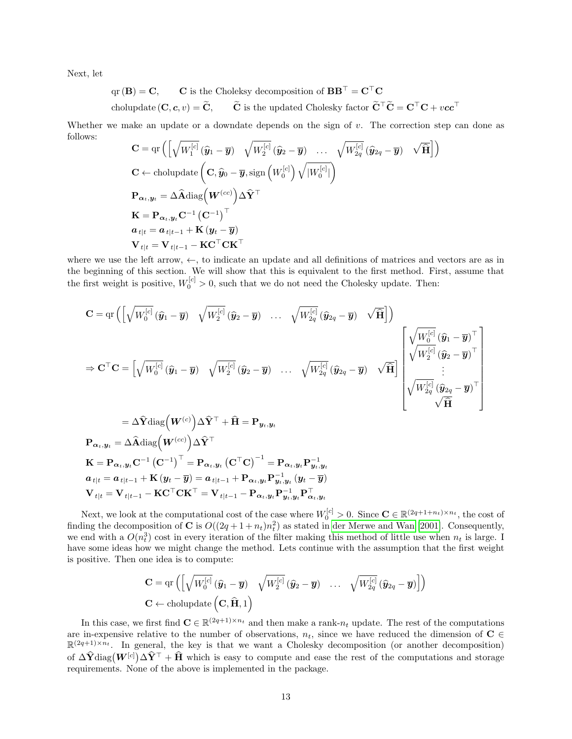Next, let

$$
qr(B) = C
$$
, **C** is the Choleksy decomposition of  $BB^{\top} = C^{\top}C$   
cholupdate  $(C, c, v) = \tilde{C}$ ,  $\tilde{C}$  is the updated Cholesky factor  $\tilde{C}^{\top}\tilde{C} = C^{\top}C + vec^{\top}$ 

Whether we make an update or a downdate depends on the sign of  $v$ . The correction step can done as follows:

$$
\mathbf{C} = \text{qr}\left(\left[\sqrt{W_1^{[c]}}\left(\hat{y}_1 - \overline{y}\right) \sqrt{W_2^{[c]}}\left(\hat{y}_2 - \overline{y}\right) \dots \sqrt{W_{2q}^{[c]}}\left(\hat{y}_{2q} - \overline{y}\right) \sqrt{\hat{\mathbf{H}}}\right]\right)
$$
\n
$$
\mathbf{C} \leftarrow \text{cholupdate}\left(\mathbf{C}, \hat{y}_0 - \overline{y}, \text{sign}\left(W_0^{[c]}\right) \sqrt{|W_0^{[c]}}|\right)
$$
\n
$$
\mathbf{P}_{\alpha_t, y_t} = \Delta \hat{\mathbf{A}} \text{diag}\left(\mathbf{W}^{(cc)}\right) \Delta \hat{\mathbf{Y}}^{\top}
$$
\n
$$
\mathbf{K} = \mathbf{P}_{\alpha_t, y_t} \mathbf{C}^{-1} \left(\mathbf{C}^{-1}\right)^{\top}
$$
\n
$$
\mathbf{a}_{t|t} = \mathbf{a}_{t|t-1} + \mathbf{K}\left(y_t - \overline{y}\right)
$$
\n
$$
\mathbf{V}_{t|t} = \mathbf{V}_{t|t-1} - \mathbf{K} \mathbf{C}^{\top} \mathbf{C} \mathbf{K}^{\top}
$$

where we use the left arrow,  $\leftarrow$ , to indicate an update and all definitions of matrices and vectors are as in the beginning of this section. We will show that this is equivalent to the first method. First, assume that the first weight is positive,  $W_0^{[c]} > 0$ , such that we do not need the Cholesky update. Then:

$$
\mathbf{C} = \text{qr}\left(\left[\sqrt{W_0^{[c]}}\left(\hat{\mathbf{y}}_1 - \overline{\mathbf{y}}\right) \sqrt{W_2^{[c]}}\left(\hat{\mathbf{y}}_2 - \overline{\mathbf{y}}\right) \cdots \sqrt{W_{2q}^{[c]}}\left(\hat{\mathbf{y}}_{2q} - \overline{\mathbf{y}}\right) \sqrt{\widehat{\mathbf{H}}}\right]\right)
$$
\n
$$
\Rightarrow \mathbf{C}^\top \mathbf{C} = \left[\sqrt{W_0^{[c]}}\left(\hat{\mathbf{y}}_1 - \overline{\mathbf{y}}\right) \sqrt{W_2^{[c]}}\left(\hat{\mathbf{y}}_2 - \overline{\mathbf{y}}\right) \cdots \sqrt{W_{2q}^{[c]}}\left(\hat{\mathbf{y}}_{2q} - \overline{\mathbf{y}}\right) \sqrt{\widehat{\mathbf{H}}}\right] \left[\begin{array}{c} \sqrt{W_0^{[c]}}\left(\hat{\mathbf{y}}_1 - \overline{\mathbf{y}}\right)^\top \\ \sqrt{W_2^{[c]}}\left(\hat{\mathbf{y}}_2 - \overline{\mathbf{y}}\right)^\top \\ \vdots \\ \sqrt{W_{2q}^{[c]}}\left(\hat{\mathbf{y}}_{2q} - \overline{\mathbf{y}}\right)^\top \end{array}\right]
$$
\n
$$
= \Delta \widehat{\mathbf{Y}} \text{diag}\left(\mathbf{W}^{(c)}\right) \Delta \widehat{\mathbf{Y}}^\top + \widehat{\mathbf{H}} = \mathbf{P}_{\mathbf{y}_t, \mathbf{y}_t}
$$
\n
$$
\mathbf{P}_{\alpha_t, \mathbf{y}_t} = \Delta \widehat{\mathbf{A}} \text{diag}\left(\mathbf{W}^{(cc)}\right) \Delta \widehat{\mathbf{Y}}^\top
$$
\n
$$
\mathbf{K} = \mathbf{P}_{\alpha_t, \mathbf{y}_t} \mathbf{C}^{-1} \left(\mathbf{C}^{-1}\right)^\top = \mathbf{P}_{\alpha_t, \mathbf{y}_t} \left(\mathbf{C}^\top \mathbf{C}\right)^{-1} = \mathbf{P}_{\alpha_t, \mathbf{y}_t} \mathbf{P}_{\mathbf{y}_t, \mathbf{y}_t}^{-1}
$$

$$
\begin{aligned}\na_{t|t} &= a_{t|t-1} + \mathbf{K} \left( y_t - \overline{y} \right) = a_{t|t-1} + \mathbf{P}_{\alpha_t, y_t} \mathbf{P}_{y_t, y_t}^{-1} \left( y_t - \overline{y} \right) \\
\mathbf{V}_{t|t} &= \mathbf{V}_{t|t-1} - \mathbf{K} \mathbf{C}^\top \mathbf{C} \mathbf{K}^\top = \mathbf{V}_{t|t-1} - \mathbf{P}_{\alpha_t, y_t} \mathbf{P}_{y_t, y_t}^{-1} \mathbf{P}_{\alpha_t, y_t}^\top\n\end{aligned}
$$

Next, we look at the computational cost of the case where  $W_0^{[c]} > 0$ . Since  $\mathbf{C} \in \mathbb{R}^{(2q+1+n_t)\times n_t}$ , the cost of finding the decomposition of **C** is  $O((2q + 1 + n_t)n_t^2)$  as stated in [der Merwe and Wan \[2001\]](#page-25-7). Consequently, we end with a  $O(n_t^3)$  cost in every iteration of the filter making this method of little use when  $n_t$  is large. I have some ideas how we might change the method. Lets continue with the assumption that the first weight is positive. Then one idea is to compute:

$$
\mathbf{C} = \text{qr}\left( \left[ \sqrt{W_0^{[c]}} \left( \hat{\mathbf{y}}_1 - \overline{\mathbf{y}} \right) \quad \sqrt{W_2^{[c]}} \left( \hat{\mathbf{y}}_2 - \overline{\mathbf{y}} \right) \quad \dots \quad \sqrt{W_{2q}^{[c]}} \left( \hat{\mathbf{y}}_{2q} - \overline{\mathbf{y}} \right) \right] \right)
$$
  

$$
\mathbf{C} \leftarrow \text{cholupdate}\left( \mathbf{C}, \hat{\mathbf{H}}, 1 \right)
$$

In this case, we first find  $\mathbf{C} \in \mathbb{R}^{(2q+1)\times n_t}$  and then make a rank- $n_t$  update. The rest of the computations are in-expensive relative to the number of observations,  $n_t$ , since we have reduced the dimension of  $C \in$  $\mathbb{R}^{(2q+1)\times n_t}$ . In general, the key is that we want a Cholesky decomposition (or another decomposition) of  $\Delta \hat{\mathbf{Y}}$ diag $(\boldsymbol{W}^{[c]}) \Delta \hat{\mathbf{Y}}^{\top} + \hat{\mathbf{H}}$  which is easy to compute and ease the rest of the computations and storage requirements. None of the above is implemented in the package.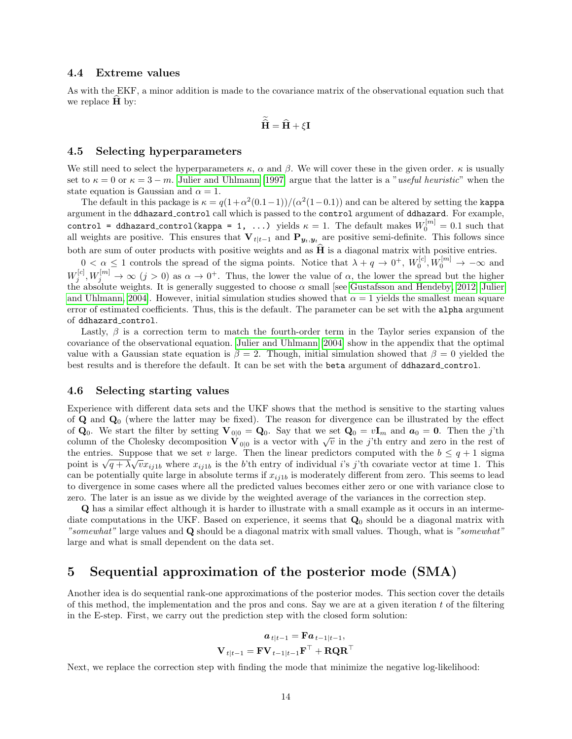### 4.4 Extreme values

As with the EKF, a minor addition is made to the covariance matrix of the observational equation such that we replace  $H$  by:

$$
\widetilde{\widehat{\mathbf{H}}} = \widehat{\mathbf{H}} + \xi \mathbf{I}
$$

#### 4.5 Selecting hyperparameters

We still need to select the hyperparameters  $\kappa$ ,  $\alpha$  and  $\beta$ . We will cover these in the given order.  $\kappa$  is usually set to  $\kappa = 0$  or  $\kappa = 3 - m$ . [Julier and Uhlmann \[1997\]](#page-25-3) argue that the latter is a "useful heuristic" when the state equation is Gaussian and  $\alpha = 1$ .

The default in this package is  $\kappa = q(1+\alpha^2(0.1-1))/( \alpha^2(1-0.1))$  and can be altered by setting the kappa argument in the ddhazard control call which is passed to the control argument of ddhazard. For example, control = ddhazard\_control(kappa = 1, ...) yields  $\kappa = 1$ . The default makes  $W_0^{[m]} = 0.1$  such that all weights are positive. This ensures that  $V_{t|t-1}$  and  $P_{y_t,y_t}$  are positive semi-definite. This follows since both are sum of outer products with positive weights and as  $\hat{H}$  is a diagonal matrix with positive entries.

 $0 < \alpha \leq 1$  controls the spread of the sigma points. Notice that  $\lambda + q \rightarrow 0^+, W_0^{[c]}, W_0^{[m]} \rightarrow -\infty$  and  $W_j^{[c]}, W_j^{[m]} \to \infty$   $(j > 0)$  as  $\alpha \to 0^+$ . Thus, the lower the value of  $\alpha$ , the lower the spread but the higher the absolute weights. It is generally suggested to choose  $\alpha$  small [see [Gustafsson and Hendeby, 2012,](#page-25-8) [Julier](#page-25-4) [and Uhlmann, 2004\]](#page-25-4). However, initial simulation studies showed that  $\alpha = 1$  yields the smallest mean square error of estimated coefficients. Thus, this is the default. The parameter can be set with the alpha argument of ddhazard control.

Lastly,  $\beta$  is a correction term to match the fourth-order term in the Taylor series expansion of the covariance of the observational equation. [Julier and Uhlmann \[2004\]](#page-25-4) show in the appendix that the optimal value with a Gaussian state equation is  $\beta = 2$ . Though, initial simulation showed that  $\beta = 0$  yielded the best results and is therefore the default. It can be set with the beta argument of ddhazard control.

#### 4.6 Selecting starting values

Experience with different data sets and the UKF shows that the method is sensitive to the starting values of  $\bf{Q}$  and  $\bf{Q}_0$  (where the latter may be fixed). The reason for divergence can be illustrated by the effect of  $\mathbf{Q}_0$ . We start the filter by setting  $\mathbf{V}_{0|0} = \mathbf{Q}_0$ . Say that we set  $\mathbf{Q}_0 = v\mathbf{I}_m$  and  $\mathbf{a}_0 = \mathbf{0}$ . Then the j'th column of the Cholesky decomposition  $\mathbf{V}_{0|0}$  is a vector with  $\sqrt{v}$  in the j'th entry and zero in the rest of the entries. Suppose that we set v large. Then the linear predictors computed with the  $b \leq q+1$  sigma point is  $\sqrt{q + \lambda}\sqrt{v}x_{ij1b}$  where  $x_{ij1b}$  is the b'th entry of individual i's j'th covariate vector at time 1. This can be potentially quite large in absolute terms if  $x_{ij1b}$  is moderately different from zero. This seems to lead to divergence in some cases where all the predicted values becomes either zero or one with variance close to zero. The later is an issue as we divide by the weighted average of the variances in the correction step.

Q has a similar effect although it is harder to illustrate with a small example as it occurs in an intermediate computations in the UKF. Based on experience, it seems that  $\mathbf{Q}_0$  should be a diagonal matrix with "somewhat" large values and Q should be a diagonal matrix with small values. Though, what is "somewhat" large and what is small dependent on the data set.

# <span id="page-13-0"></span>5 Sequential approximation of the posterior mode (SMA)

Another idea is do sequential rank-one approximations of the posterior modes. This section cover the details of this method, the implementation and the pros and cons. Say we are at a given iteration  $t$  of the filtering in the E-step. First, we carry out the prediction step with the closed form solution:

$$
\begin{aligned} \boldsymbol{a}_{t|t-1} & = \mathbf{F}\boldsymbol{a}_{t-1|t-1}, \\ \mathbf{V}_{t|t-1} & = \mathbf{F}\mathbf{V}_{t-1|t-1}\mathbf{F}^{\top} + \mathbf{R}\mathbf{Q}\mathbf{R}^{\top} \end{aligned}
$$

Next, we replace the correction step with finding the mode that minimize the negative log-likelihood: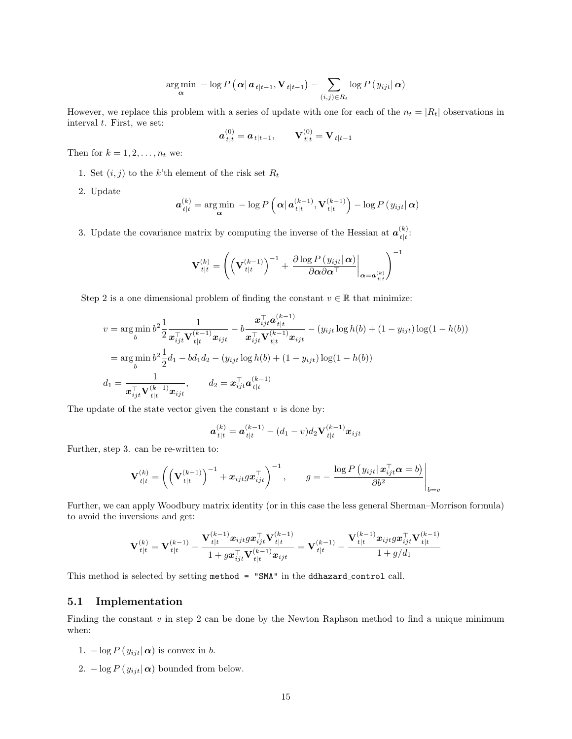$$
\argmin_{\mathbf{\alpha}} -\log P\left(\mathbf{\alpha}|\mathbf{a}_{t|t-1}, \mathbf{V}_{t|t-1}\right) - \sum_{(i,j)\in R_t} \log P\left(y_{ijt}|\mathbf{\alpha}\right)
$$

However, we replace this problem with a series of update with one for each of the  $n_t = |R_t|$  observations in interval  $t$ . First, we set:

$$
\boldsymbol{a}_{t|t}^{(0)} = \boldsymbol{a}_{t|t-1}, \qquad \mathbf{V}_{t|t}^{(0)} = \mathbf{V}_{t|t-1}
$$

Then for  $k = 1, 2, \ldots, n_t$  we:

- 1. Set  $(i, j)$  to the k'th element of the risk set  $R_t$
- 2. Update

$$
\boldsymbol{a}_{t|t}^{(k)} = \argmin_{\boldsymbol{\alpha}} -\log P\left(\left|\boldsymbol{\alpha}\right| \boldsymbol{a}_{t|t}^{(k-1)}, \mathbf{V}_{t|t}^{(k-1)}\right) - \log P\left(y_{ijt}|\boldsymbol{\alpha}\right)
$$

3. Update the covariance matrix by computing the inverse of the Hessian at  $a_{t}^{(k)}$  $\frac{\kappa}{t|t}.$ 

$$
\mathbf{V}_{t|t}^{(k)} = \left( \left( \mathbf{V}_{t|t}^{(k-1)} \right)^{-1} + \left. \frac{\partial \log P\left(y_{ijt} | \, \boldsymbol{\alpha} \right)}{\partial \boldsymbol{\alpha} \partial \boldsymbol{\alpha}^\top} \right|_{\boldsymbol{\alpha} = \boldsymbol{a}_{t|t}^{(k)}} \right)^{-1}
$$

Step 2 is a one dimensional problem of finding the constant  $v \in \mathbb{R}$  that minimize:

$$
v = \underset{b}{\arg\min} b^2 \frac{1}{2} \frac{1}{x_{ijt}^{\top} \mathbf{V}_{t|t}^{(k-1)} x_{ijt}} - b \frac{x_{ijt}^{\top} a_{t|t}^{(k-1)}}{x_{ijt}^{\top} \mathbf{V}_{t|t}^{(k-1)} x_{ijt}} - (y_{ijt} \log h(b) + (1 - y_{ijt}) \log(1 - h(b))
$$
  
\n
$$
= \underset{b}{\arg\min} b^2 \frac{1}{2} d_1 - bd_1 d_2 - (y_{ijt} \log h(b) + (1 - y_{ijt}) \log(1 - h(b))
$$
  
\n
$$
d_1 = \frac{1}{x_{ijt}^{\top} \mathbf{V}_{t|t}^{(k-1)} x_{ijt}}, \qquad d_2 = x_{ijt}^{\top} a_{t|t}^{(k-1)}
$$

The update of the state vector given the constant  $v$  is done by:

$$
\boldsymbol{a}_{t|t}^{(k)} = \boldsymbol{a}_{t|t}^{(k-1)} - (d_1 - v)d_2 \mathbf{V}_{t|t}^{(k-1)} \boldsymbol{x}_{ijt}
$$

Further, step 3. can be re-written to:

$$
\mathbf{V}_{t|t}^{(k)} = \left( \left( \mathbf{V}_{t|t}^{(k-1)} \right)^{-1} + \boldsymbol{x}_{ijt} g \boldsymbol{x}_{ijt}^{\top} \right)^{-1}, \qquad g = -\left. \frac{\log P\left(y_{ijt} | \, \boldsymbol{x}_{ijt}^{\top} \boldsymbol{\alpha} = b\right)}{\partial b^2} \right|_{b=v}
$$

Further, we can apply Woodbury matrix identity (or in this case the less general Sherman–Morrison formula) to avoid the inversions and get:

$$
{\bf V}_{t|t}^{(k)}={\bf V}_{t|t}^{(k-1)}-\frac{{\bf V}_{t|t}^{(k-1)}{\bm x}_{ijt}g\bm x_{ijt}^\top{\bf V}_{t|t}^{(k-1)}}{1+g\bm x_{ijt}^\top{\bf V}_{t|t}^{(k-1)}\bm x_{ijt}}={\bf V}_{t|t}^{(k-1)}-\frac{{\bf V}_{t|t}^{(k-1)}{\bm x}_{ijt}g\bm x_{ijt}^\top{\bf V}_{t|t}^{(k-1)}}{1+g/d_1}
$$

This method is selected by setting method = "SMA" in the ddhazard control call.

## 5.1 Implementation

Finding the constant  $v$  in step 2 can be done by the Newton Raphson method to find a unique minimum when:

- 1.  $-\log P(y_{ijt}|\boldsymbol{\alpha})$  is convex in b.
- 2.  $-\log P(y_{ijt}|\alpha)$  bounded from below.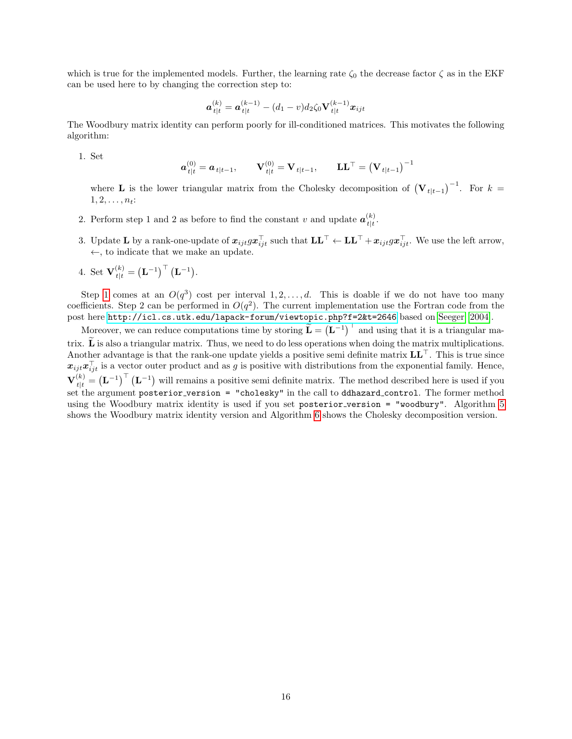which is true for the implemented models. Further, the learning rate  $\zeta_0$  the decrease factor  $\zeta$  as in the EKF can be used here to by changing the correction step to:

$$
\boldsymbol{a}_{t|t}^{(k)} = \boldsymbol{a}_{t|t}^{(k-1)} - (d_1 - v)d_2\zeta_0 \mathbf{V}_{t|t}^{(k-1)}\boldsymbol{x}_{ijt}
$$

The Woodbury matrix identity can perform poorly for ill-conditioned matrices. This motivates the following algorithm:

<span id="page-15-0"></span>1. Set

$$
\mathbf{a}_{t|t}^{(0)} = \mathbf{a}_{t|t-1}, \qquad \mathbf{V}_{t|t}^{(0)} = \mathbf{V}_{t|t-1}, \qquad \mathbf{L}\mathbf{L}^{\top} = (\mathbf{V}_{t|t-1})^{-1}
$$

where **L** is the lower triangular matrix from the Cholesky decomposition of  $(\mathbf{V}_{t|t-1})^{-1}$ . For  $k =$  $1, 2, \ldots, n_t$ :

- 2. Perform step 1 and 2 as before to find the constant v and update  $a_{t}^{(k)}$  $\frac{1}{t+t}$ .
- 3. Update L by a rank-one-update of  $x_{ijt} g x_{ijt}^{\top}$  such that  $LL^{\top} \leftarrow LL^{\top} + x_{ijt} g x_{ijt}^{\top}$ . We use the left arrow, ←, to indicate that we make an update.
- 4. Set  $\mathbf{V}_{t|t}^{(k)} = (\mathbf{L}^{-1})^{\top} (\mathbf{L}^{-1}).$

Step [1](#page-15-0) comes at an  $O(q^3)$  cost per interval  $1, 2, ..., d$ . This is doable if we do not have too many coefficients. Step 2 can be performed in  $O(q^2)$ . The current implementation use the Fortran code from the post here <http://icl.cs.utk.edu/lapack-forum/viewtopic.php?f=2&t=2646> based on [Seeger \[2004\]](#page-25-9).

Moreover, we can reduce computations time by storing  $\tilde{\mathbf{L}} = (\mathbf{L}^{-1})^{\top}$  and using that it is a triangular matrix.  $\tilde{\mathbf{L}}$  is also a triangular matrix. Thus, we need to do less operations when doing the matrix multiplications. Another advantage is that the rank-one update yields a positive semi definite matrix  $LL^{\top}$ . This is true since  $x_{ijt}x_{ijt}^{\top}$  is a vector outer product and as g is positive with distributions from the exponential family. Hence,  $\mathbf{V}_{t|t}^{(k)} = (\mathbf{L}^{-1})^{\top} (\mathbf{L}^{-1})$  will remains a positive semi definite matrix. The method described here is used if you set the argument posterior version = "cholesky" in the call to ddhazard control. The former method using the Woodbury matrix identity is used if you set posterior version = "woodbury". Algorithm [5](#page-16-1) shows the Woodbury matrix identity version and Algorithm [6](#page-16-2) shows the Cholesky decomposition version.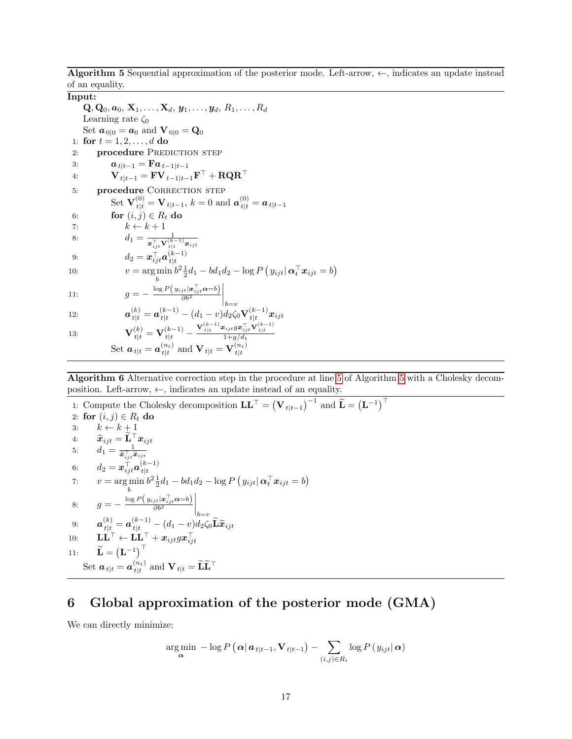<span id="page-16-1"></span>Algorithm 5 Sequential approximation of the posterior mode. Left-arrow,  $\leftarrow$ , indicates an update instead of an equality.

Input:

 ${\bf Q}, {\bf Q}_0, {\bf a}_0, {\bf X}_1, \ldots, {\bf X}_d, {\bf y}_1, \ldots, {\bf y}_d, R_1, \ldots, R_d$ Learning rate  $\zeta_0$ Set  $a_{0|0} = a_0$  and  $V_{0|0} = Q_0$ 1: for  $t = 1, 2, ..., d$  do 2: **procedure PREDICTION STEP** 3:  $a_{t|t-1} = \mathbf{F}a_{t-1|t-1}$ 4:  ${\bf V}_{t|t-1} = {\bf F} {\bf V}_{t-1|t-1} {\bf F}^\top + {\bf R} {\bf Q} {\bf R}^\top$ 5: procedure CORRECTION STEP  $\mathrm{Set}\;\mathbf{V}_{t|t}^{(0)} = \mathbf{V}_{t|t-1},\, k=0\;\text{and}\;\bm{a}_{t|t}^{(0)} = \bm{a}_{t|t-1}$ 6: for  $(i, j) \in R_t$  do<br>7:  $k \leftarrow k + 1$ 7:  $k \leftarrow k + 1$ <br>8:  $d_1 = \frac{1}{1}$ 8:  $d_1 = \frac{1}{e^{\frac{1}{n} \mathbf{V}^{(k)}}}$  $\boldsymbol{x}_{ijt}^{\top} \mathbf{V}_{t|t}^{(k-1)} \boldsymbol{x}_{ijt}$ 9:  $d_2 = \boldsymbol{x}_{ijt}^\top \boldsymbol{a}_{t|t}^{(k-1)}$  $t|t$ 10:  $v = \arg \min_b b^2 \frac{1}{2} d_1 - bd_1 d_2 - \log P(y_{ijt} | \boldsymbol{\alpha}_t^{\top} \boldsymbol{x}_{ijt} = b)$ b 11:  $g = -\frac{\log P(y_{ijt}|\boldsymbol{x}_{ijt}^{\top}\boldsymbol{\alpha}=b)}{\partial b^2}$  $\partial b^2$  $\bigg|_{b=v}$ 12:  $\boldsymbol{a}_{t|t}^{(k)} = \boldsymbol{a}_{t|t}^{(k-1)} - (d_1 - v)d_2\zeta_0 \mathbf{V}_{t|t}^{(k-1)}$  $\frac{d(k-1)}{t|t} \bm{x}_{ijt}$ 13:  $\mathbf{V}_{t|t}^{(k)} = \mathbf{V}_{t|t}^{(k-1)} \frac{{\mathbf{V}}_{t|t}^{(k-1)}{\bm{x}}_{ijt}g\bm{x}_{ijt}^{\top}{\mathbf{V}}_{t|t}^{(k-1)}}{1\!+\!g/d_1}$ 

Set  $\boldsymbol{a}_{\,t|t} = \boldsymbol{a}_{\,tl}^{(n_t)}$  $\mathbf{t}_{t|t}^{(n_t)}$  and  $\mathbf{V}_{t|t} = \mathbf{V}_{t|t}^{(n_t)}$  $t|t$ 

<span id="page-16-2"></span>Algorithm 6 Alternative correction step in the procedure at line [5](#page-16-1) of Algorithm [5](#page-16-1) with a Cholesky decomposition. Left-arrow,  $\leftarrow$ , indicates an update instead of an equality.

1: Compute the Cholesky decomposition  $\mathbf{LL}^{\top} = (\mathbf{V}_{t|t-1})^{-1}$  and  $\widetilde{\mathbf{L}} = (\mathbf{L}^{-1})^{\top}$ 2: for  $(i, j) \in R_t$  do<br>3:  $k \leftarrow k + 1$ 3:  $k \leftarrow k + 1$ <br>4:  $\widetilde{x}_{i} = \widetilde{\mathbf{L}}^{\top}$ 4:  $\widetilde{x}_{ijt} = \widetilde{\mathbf{L}}^{\top} x_{ijt}$ <br>5:  $d_1 = \frac{1}{\widetilde{\mathbf{L}}^{\top} \widetilde{\mathbf{L}}}$ 5:  $d_1 = \frac{1}{\widetilde{\bm{x}}_{ijt}^{\top} \widetilde{\bm{x}}_{ijt}}$ 6:  $d_2 = \boldsymbol{x}_{ijt}^{\top} \boldsymbol{a}_{t|t}^{(k-1)}$  $t|t$ 7:  $v = \argmin_{b} b^{2} \frac{1}{2} d_{1} - bd_{1} d_{2} - \log P (y_{ijt} | \boldsymbol{\alpha}_{t}^{T} \boldsymbol{x}_{ijt} = b)$ 8:  $g = -\frac{\log P(y_{ijt}|\boldsymbol{x}_{ijt}^{\top}\boldsymbol{\alpha}=b)}{\partial b^2}$  $\partial b^2$  $\bigg|_{b=v}$  $\mathbf{a}^{(k)}_{t|t=} = \boldsymbol{a}^{(k-1)}_{t|t=+} - (d_1-v)d_2\zeta_0\widetilde{\mathbf{L}}\widetilde{\boldsymbol{x}}_{ijt}$  $\mathbf{L}\mathbf{L}^{\top} \leftarrow \mathbf{L}\mathbf{L}^{\top} + \boldsymbol{x}_{ijt} g \boldsymbol{x}_{ijt}^{\top}$ 11:  $\widetilde{\mathbf{L}} = (\mathbf{L}^{-1})^{\top}$ Set  $\boldsymbol{a}_{\,t|t} = \boldsymbol{a}_{\,tl}^{(n_t)}$  $\inf_{t\mid t}\, \text{ and } \, \mathbf{V}_{t\mid t} = \widetilde{\mathbf{L}}\widetilde{\mathbf{L}}^\top$ 

# <span id="page-16-0"></span>6 Global approximation of the posterior mode (GMA)

We can directly minimize:

$$
\argmin_{\mathbf{\alpha}} -\log P\left(\mathbf{\alpha}|\mathbf{a}_{t|t-1}, \mathbf{V}_{t|t-1}\right) - \sum_{(i,j)\in R_t} \log P\left(y_{ijt}|\mathbf{\alpha}\right)
$$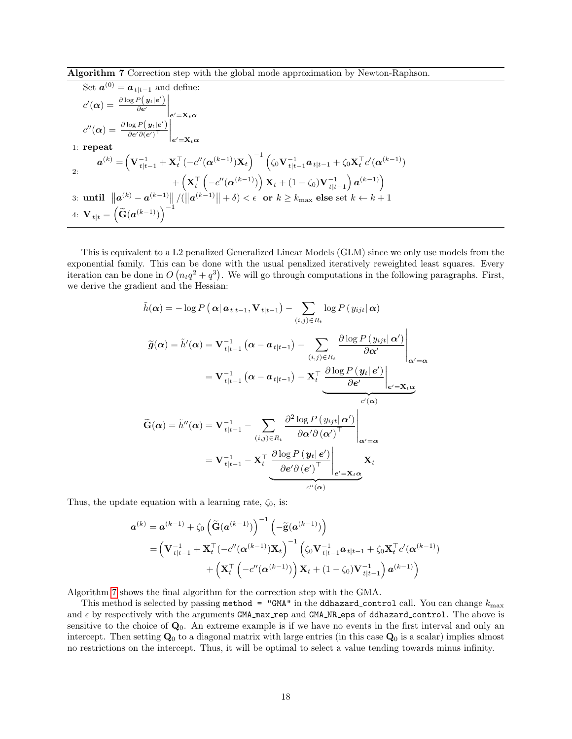<span id="page-17-0"></span>Algorithm 7 Correction step with the global mode approximation by Newton-Raphson.

Set 
$$
\mathbf{a}^{(0)} = \mathbf{a}_{t|t-1}
$$
 and define:  
\n
$$
c'(\alpha) = \frac{\partial \log P(\mathbf{y}_t|e')}{\partial e'}\Big|_{e' = \mathbf{X}_t \alpha}
$$
\n
$$
c''(\alpha) = \frac{\partial \log P(\mathbf{y}_t|e')}{\partial e' \partial (e')^\top}\Big|_{e' = \mathbf{X}_t \alpha}
$$
\n1: repeat\n
$$
\mathbf{a}^{(k)} = \left(\mathbf{V}_{t|t-1}^{-1} + \mathbf{X}_t^\top (-c''(\alpha^{(k-1)})\mathbf{X}_t)^{-1} \left(\zeta_0 \mathbf{V}_{t|t-1}^{-1} \mathbf{a}_{t|t-1} + \zeta_0 \mathbf{X}_t^\top c'(\alpha^{(k-1)}) + \left(\mathbf{X}_t^\top \left(-c''(\alpha^{(k-1)})\right)\mathbf{X}_t + (1-\zeta_0)\mathbf{V}_{t|t-1}^{-1}\right) \mathbf{a}^{(k-1)}\right)
$$
\n3: until  $||\mathbf{a}^{(k)} - \mathbf{a}^{(k-1)}||/(||\mathbf{a}^{(k-1)}|| + \delta) < \epsilon$  or  $k \geq k_{\text{max}}$  else set  $k \leftarrow k+1$ \n4:  $\mathbf{V}_{t|t} = \left(\widetilde{\mathbf{G}}(\mathbf{a}^{(k-1)})\right)^{-1}$ 

This is equivalent to a L2 penalized Generalized Linear Models (GLM) since we only use models from the exponential family. This can be done with the usual penalized iteratively reweighted least squares. Every iteration can be done in  $O(n_tq^2 + q^3)$ . We will go through computations in the following paragraphs. First, we derive the gradient and the Hessian:

$$
\tilde{h}(\alpha) = -\log P(\alpha | \alpha_{t|t-1}, \mathbf{V}_{t|t-1}) - \sum_{(i,j) \in R_t} \log P(y_{ijt} | \alpha)
$$
\n
$$
\tilde{g}(\alpha) = \tilde{h}'(\alpha) = \mathbf{V}_{t|t-1}^{-1} (\alpha - \alpha_{t|t-1}) - \sum_{(i,j) \in R_t} \frac{\partial \log P(y_{ijt} | \alpha')}{\partial \alpha'} \Big|_{\alpha' = \alpha}
$$
\n
$$
= \mathbf{V}_{t|t-1}^{-1} (\alpha - \alpha_{t|t-1}) - \mathbf{X}_t^\top \underbrace{\frac{\partial \log P(y_t | e')}{\partial e'} \Big|_{e' = \mathbf{X}_t \alpha}}_{c'(\alpha)}
$$
\n
$$
\tilde{G}(\alpha) = \tilde{h}''(\alpha) = \mathbf{V}_{t|t-1}^{-1} - \sum_{(i,j) \in R_t} \frac{\partial^2 \log P(y_{ijt} | \alpha')}{\partial \alpha' \partial (\alpha')^\top} \Big|_{\alpha' = \alpha}
$$
\n
$$
= \mathbf{V}_{t|t-1}^{-1} - \mathbf{X}_t^\top \underbrace{\frac{\partial \log P(y_t | e')}{\partial e' \partial (e')^\top} \Big|_{e' = \mathbf{X}_t \alpha}}_{c''(\alpha)} \mathbf{X}_t
$$

Thus, the update equation with a learning rate,  $\zeta_0$ , is:

$$
\mathbf{a}^{(k)} = \mathbf{a}^{(k-1)} + \zeta_0 \left( \widetilde{\mathbf{G}}(\mathbf{a}^{(k-1)}) \right)^{-1} \left( -\widetilde{\mathbf{g}}(\mathbf{a}^{(k-1)}) \right)
$$
  
=  $\left( \mathbf{V}_{t|t-1}^{-1} + \mathbf{X}_t^\top (-c''(\mathbf{\alpha}^{(k-1)}) \mathbf{X}_t) \right)^{-1} \left( \zeta_0 \mathbf{V}_{t|t-1}^{-1} \mathbf{a}_{t|t-1} + \zeta_0 \mathbf{X}_t^\top c'(\mathbf{\alpha}^{(k-1)}) \right) + \left( \mathbf{X}_t^\top \left( -c''(\mathbf{\alpha}^{(k-1)}) \right) \mathbf{X}_t + (1 - \zeta_0) \mathbf{V}_{t|t-1}^{-1} \right) \mathbf{a}^{(k-1)} \right)$ 

Algorithm [7](#page-17-0) shows the final algorithm for the correction step with the GMA.

This method is selected by passing method = "GMA" in the ddhazard\_control call. You can change  $k_{\text{max}}$ and  $\epsilon$  by respectively with the arguments GMA max rep and GMA NR eps of ddhazard control. The above is sensitive to the choice of  $\mathbf{Q}_0$ . An extreme example is if we have no events in the first interval and only an intercept. Then setting  $\mathbf{Q}_0$  to a diagonal matrix with large entries (in this case  $\mathbf{Q}_0$  is a scalar) implies almost no restrictions on the intercept. Thus, it will be optimal to select a value tending towards minus infinity.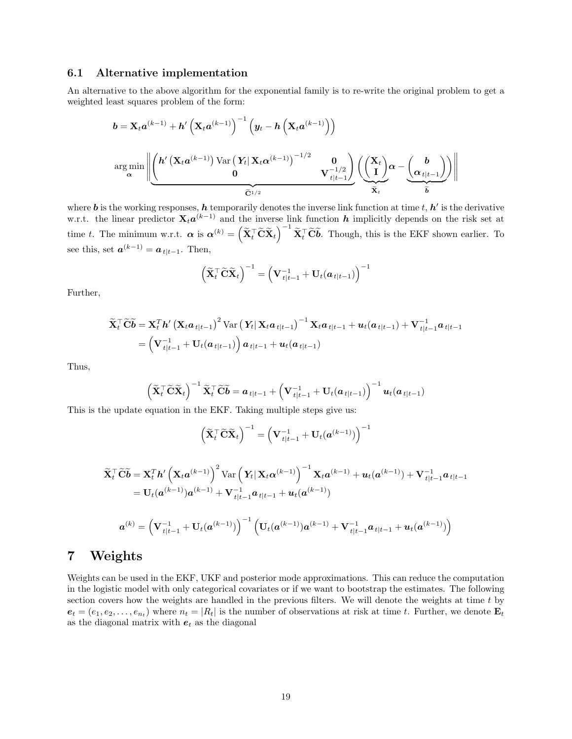### 6.1 Alternative implementation

An alternative to the above algorithm for the exponential family is to re-write the original problem to get a weighted least squares problem of the form:

$$
b = \mathbf{X}_t a^{(k-1)} + h' \left( \mathbf{X}_t a^{(k-1)} \right)^{-1} \left( y_t - h \left( \mathbf{X}_t a^{(k-1)} \right) \right)
$$
  

$$
\arg \min_{\alpha} \left\| \underbrace{\left( h' \left( \mathbf{X}_t a^{(k-1)} \right) \text{Var} \left( Y_t | \mathbf{X}_t \alpha^{(k-1)} \right)^{-1/2} \mathbf{0} \right)}_{\widetilde{\mathbf{C}}^{1/2}} \mathbf{V}_{t|t-1}^{-1/2} \right\} \underbrace{\left( \underbrace{\left( \mathbf{X}_t \right)}_{\widetilde{\mathbf{X}}_t} \alpha - \underbrace{\left( \mathbf{a} \right)}_{\widetilde{\mathbf{b}}} \right) \right\|}_{\widetilde{\mathbf{X}}_t}
$$

where **b** is the working responses, **h** temporarily denotes the inverse link function at time t,  $h'$  is the derivative w.r.t. the linear predictor  $\mathbf{X}_t a^{(k-1)}$  and the inverse link function h implicitly depends on the risk set at time t. The minimum w.r.t.  $\boldsymbol{\alpha}$  is  $\boldsymbol{\alpha}^{(k)} = \left(\widetilde{\mathbf{X}}_t^{\top} \widetilde{\mathbf{C}} \widetilde{\mathbf{X}}_t\right)^{-1} \widetilde{\mathbf{X}}_t^{\top} \widetilde{\mathbf{C}} \widetilde{\boldsymbol{b}}$ . Though, this is the EKF shown earlier. To see this, set  $\mathbf{a}^{(k-1)} = \mathbf{a}_{t|t-1}$ . Then,

$$
\left(\widetilde{\mathbf{X}}_{t}^{\top} \widetilde{\mathbf{C}} \widetilde{\mathbf{X}}_{t}\right)^{-1} = \left(\mathbf{V}_{t|t-1}^{-1} + \mathbf{U}_{t}(\boldsymbol{a}_{t|t-1})\right)^{-1}
$$

Further,

$$
\widetilde{\mathbf{X}}_t^\top \widetilde{\mathbf{C}} \widetilde{\boldsymbol{b}} = \mathbf{X}_t^T \boldsymbol{h}' \left( \mathbf{X}_t \boldsymbol{a}_{t|t-1} \right)^2 \text{Var} \left( \mathbf{Y}_t \vert \mathbf{X}_t \boldsymbol{a}_{t|t-1} \right)^{-1} \mathbf{X}_t \boldsymbol{a}_{t|t-1} + \boldsymbol{u}_t (\boldsymbol{a}_{t|t-1}) + \mathbf{V}_{t|t-1}^{-1} \boldsymbol{a}_{t|t-1} = \left( \mathbf{V}_{t|t-1}^{-1} + \mathbf{U}_t (\boldsymbol{a}_{t|t-1}) \right) \boldsymbol{a}_{t|t-1} + \boldsymbol{u}_t (\boldsymbol{a}_{t|t-1})
$$

Thus,

$$
\left(\widetilde{\mathbf{X}}_{t}^{\top} \widetilde{\mathbf{C}} \widetilde{\mathbf{X}}_{t}\right)^{-1} \widetilde{\mathbf{X}}_{t}^{\top} \widetilde{\mathbf{C}} \widetilde{\boldsymbol{b}} = \boldsymbol{a}_{t|t-1} + \left(\mathbf{V}_{t|t-1}^{-1} + \mathbf{U}_{t}(\boldsymbol{a}_{t|t-1})\right)^{-1} \boldsymbol{u}_{t}(\boldsymbol{a}_{t|t-1})
$$

This is the update equation in the EKF. Taking multiple steps give us:

$$
\left(\widetilde{\mathbf{X}}_{t}^{\top} \widetilde{\mathbf{C}} \widetilde{\mathbf{X}}_{t}\right)^{-1}=\left(\mathbf{V}_{t|t-1}^{-1}+\mathbf{U}_{t}(\boldsymbol{a}^{(k-1)})\right)^{-1}
$$

$$
\widetilde{\mathbf{X}}_{t}^{\top} \widetilde{\mathbf{C}} \widetilde{\mathbf{b}} = \mathbf{X}_{t}^{T} \mathbf{h}' \left( \mathbf{X}_{t} \mathbf{a}^{(k-1)} \right)^{2} \text{Var} \left( \mathbf{Y}_{t} | \mathbf{X}_{t} \alpha^{(k-1)} \right)^{-1} \mathbf{X}_{t} \mathbf{a}^{(k-1)} + \mathbf{u}_{t} (\mathbf{a}^{(k-1)}) + \mathbf{V}_{t|t-1}^{-1} \mathbf{a}_{t|t-1}
$$
\n
$$
= \mathbf{U}_{t} (\mathbf{a}^{(k-1)}) \mathbf{a}^{(k-1)} + \mathbf{V}_{t|t-1}^{-1} \mathbf{a}_{t|t-1} + \mathbf{u}_{t} (\mathbf{a}^{(k-1)})
$$
\n
$$
\mathbf{a}^{(k)} = \left( \mathbf{V}_{t|t-1}^{-1} + \mathbf{U}_{t} (\mathbf{a}^{(k-1)}) \right)^{-1} \left( \mathbf{U}_{t} (\mathbf{a}^{(k-1)}) \mathbf{a}^{(k-1)} + \mathbf{V}_{t|t-1}^{-1} \mathbf{a}_{t|t-1} + \mathbf{u}_{t} (\mathbf{a}^{(k-1)}) \right)
$$

# <span id="page-18-0"></span>7 Weights

Weights can be used in the EKF, UKF and posterior mode approximations. This can reduce the computation in the logistic model with only categorical covariates or if we want to bootstrap the estimates. The following section covers how the weights are handled in the previous filters. We will denote the weights at time  $t$  by  $e_t = (e_1, e_2, \ldots, e_{n_t})$  where  $n_t = |R_t|$  is the number of observations at risk at time t. Further, we denote  $\mathbf{E}_t$ as the diagonal matrix with  $e_t$  as the diagonal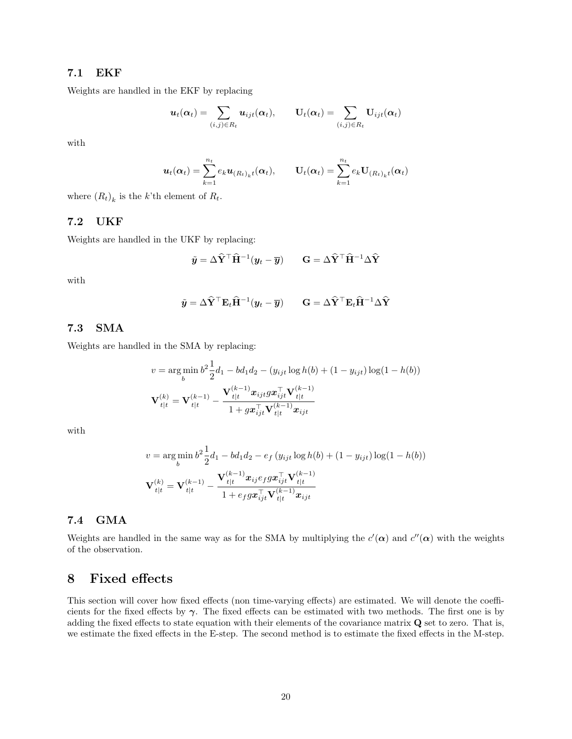## 7.1 EKF

Weights are handled in the EKF by replacing

$$
\boldsymbol{u}_t(\boldsymbol{\alpha}_t) = \sum_{(i,j) \in R_t} \boldsymbol{u}_{ijt}(\boldsymbol{\alpha}_t), \qquad \mathbf{U}_t(\boldsymbol{\alpha}_t) = \sum_{(i,j) \in R_t} \mathbf{U}_{ijt}(\boldsymbol{\alpha}_t)
$$

with

$$
\boldsymbol{u}_t(\boldsymbol{\alpha}_t) = \sum_{k=1}^{n_t} e_k \boldsymbol{u}_{(R_t)_k t}(\boldsymbol{\alpha}_t), \qquad \mathbf{U}_t(\boldsymbol{\alpha}_t) = \sum_{k=1}^{n_t} e_k \mathbf{U}_{(R_t)_k t}(\boldsymbol{\alpha}_t)
$$

where  $(R_t)_k$  is the k'th element of  $R_t$ .

## 7.2 UKF

Weights are handled in the UKF by replacing:

$$
\tilde{\mathbf{y}} = \Delta \hat{\mathbf{Y}}^{\top} \hat{\mathbf{H}}^{-1} (\mathbf{y}_t - \overline{\mathbf{y}}) \qquad \mathbf{G} = \Delta \hat{\mathbf{Y}}^{\top} \hat{\mathbf{H}}^{-1} \Delta \hat{\mathbf{Y}}
$$

with

$$
\tilde{\mathbf{y}} = \Delta \hat{\mathbf{Y}}^{\top} \mathbf{E}_t \hat{\mathbf{H}}^{-1} (\mathbf{y}_t - \overline{\mathbf{y}}) \qquad \mathbf{G} = \Delta \hat{\mathbf{Y}}^{\top} \mathbf{E}_t \hat{\mathbf{H}}^{-1} \Delta \hat{\mathbf{Y}}
$$

## 7.3 SMA

Weights are handled in the SMA by replacing:

$$
v = \arg\min_{b} b^{2} \frac{1}{2} d_{1} - bd_{1} d_{2} - (y_{ijt} \log h(b) + (1 - y_{ijt}) \log(1 - h(b))
$$

$$
\mathbf{V}_{t|t}^{(k)} = \mathbf{V}_{t|t}^{(k-1)} - \frac{\mathbf{V}_{t|t}^{(k-1)} \mathbf{x}_{ijt} g \mathbf{x}_{ijt}^{\top} \mathbf{V}_{t|t}^{(k-1)}}{1 + g \mathbf{x}_{ijt}^{\top} \mathbf{V}_{t|t}^{(k-1)} \mathbf{x}_{ijt}}
$$

with

$$
v = \underset{b}{\arg\min} b^2 \frac{1}{2} d_1 - bd_1 d_2 - e_f (y_{ijt} \log h(b) + (1 - y_{ijt}) \log(1 - h(b))
$$
  

$$
\mathbf{V}_{t|t}^{(k)} = \mathbf{V}_{t|t}^{(k-1)} - \frac{\mathbf{V}_{t|t}^{(k-1)} \mathbf{x}_{ij} e_f g \mathbf{x}_{ijt}^\top \mathbf{V}_{t|t}^{(k-1)}}{1 + e_f g \mathbf{x}_{ijt}^\top \mathbf{V}_{t|t}^{(k-1)} \mathbf{x}_{ijt}}
$$

## 7.4 GMA

Weights are handled in the same way as for the SMA by multiplying the  $c'(\alpha)$  and  $c''(\alpha)$  with the weights of the observation.

# <span id="page-19-0"></span>8 Fixed effects

This section will cover how fixed effects (non time-varying effects) are estimated. We will denote the coefficients for the fixed effects by  $\gamma$ . The fixed effects can be estimated with two methods. The first one is by adding the fixed effects to state equation with their elements of the covariance matrix Q set to zero. That is, we estimate the fixed effects in the E-step. The second method is to estimate the fixed effects in the M-step.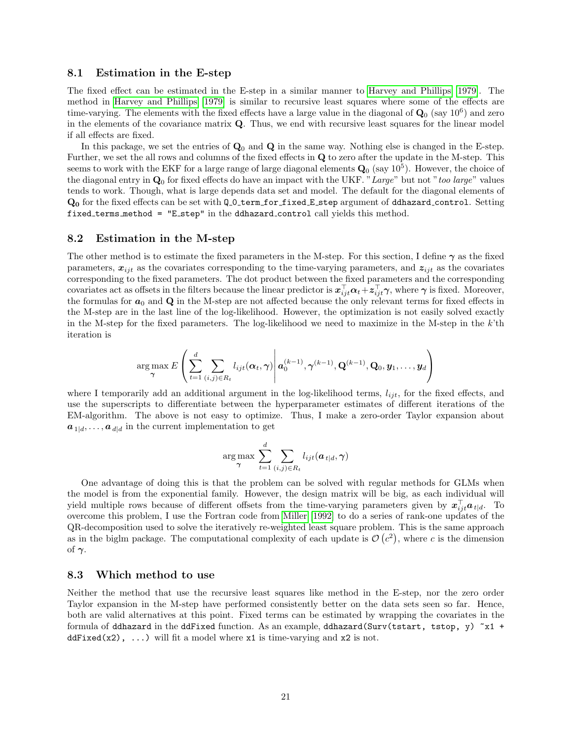#### 8.1 Estimation in the E-step

The fixed effect can be estimated in the E-step in a similar manner to [Harvey and Phillips \[1979\]](#page-25-10). The method in [Harvey and Phillips \[1979\]](#page-25-10) is similar to recursive least squares where some of the effects are time-varying. The elements with the fixed effects have a large value in the diagonal of  $\mathbf{Q}_0$  (say  $10^6$ ) and zero in the elements of the covariance matrix Q. Thus, we end with recursive least squares for the linear model if all effects are fixed.

In this package, we set the entries of  $\mathbf{Q}_0$  and  $\mathbf{Q}$  in the same way. Nothing else is changed in the E-step. Further, we set the all rows and columns of the fixed effects in Q to zero after the update in the M-step. This seems to work with the EKF for a large range of large diagonal elements  $\mathbf{Q}_0$  (say  $10^5$ ). However, the choice of the diagonal entry in  $\mathbf{Q}_0$  for fixed effects do have an impact with the UKF. "Large" but not "too large" values tends to work. Though, what is large depends data set and model. The default for the diagonal elements of  $Q_0$  for the fixed effects can be set with  $Q_0$  term for fixed E step argument of ddhazard control. Setting fixed terms method = "E step" in the ddhazard control call yields this method.

#### 8.2 Estimation in the M-step

The other method is to estimate the fixed parameters in the M-step. For this section, I define  $\gamma$  as the fixed parameters,  $x_{ijt}$  as the covariates corresponding to the time-varying parameters, and  $z_{ijt}$  as the covariates corresponding to the fixed parameters. The dot product between the fixed parameters and the corresponding covariates act as offsets in the filters because the linear predictor is  $x_{ijt}^{\top}\alpha_t + z_{ijt}^{\top}\gamma$ , where  $\gamma$  is fixed. Moreover, the formulas for  $a_0$  and  $\bf{Q}$  in the M-step are not affected because the only relevant terms for fixed effects in the M-step are in the last line of the log-likelihood. However, the optimization is not easily solved exactly in the M-step for the fixed parameters. The log-likelihood we need to maximize in the M-step in the  $k$ 'th iteration is

$$
\arg \max_{\boldsymbol{\gamma}} E\left(\sum_{t=1}^d \sum_{(i,j)\in R_t} l_{ijt}(\boldsymbol{\alpha}_t, \boldsymbol{\gamma})\middle|\boldsymbol{a}_0^{(k-1)}, \boldsymbol{\gamma}^{(k-1)}, \mathbf{Q}^{(k-1)}, \mathbf{Q}_0, \boldsymbol{y}_1, \ldots, \boldsymbol{y}_d\right)
$$

where I temporarily add an additional argument in the log-likelihood terms,  $l_{ijt}$ , for the fixed effects, and use the superscripts to differentiate between the hyperparameter estimates of different iterations of the EM-algorithm. The above is not easy to optimize. Thus, I make a zero-order Taylor expansion about  $a_{1|d}, \ldots, a_{d|d}$  in the current implementation to get

$$
\arg\max_{\boldsymbol{\gamma}} \sum_{t=1}^d \sum_{(i,j)\in R_t} l_{ijt}(\boldsymbol{a}_{t|d}, \boldsymbol{\gamma})
$$

One advantage of doing this is that the problem can be solved with regular methods for GLMs when the model is from the exponential family. However, the design matrix will be big, as each individual will yield multiple rows because of different offsets from the time-varying parameters given by  $x_{ijt}^{\top}a_{t|d}$ . To overcome this problem, I use the Fortran code from [Miller \[1992\]](#page-25-11) to do a series of rank-one updates of the QR-decomposition used to solve the iteratively re-weighted least square problem. This is the same approach as in the biglm package. The computational complexity of each update is  $\mathcal{O}(c^2)$ , where c is the dimension of  $\gamma$ .

### 8.3 Which method to use

Neither the method that use the recursive least squares like method in the E-step, nor the zero order Taylor expansion in the M-step have performed consistently better on the data sets seen so far. Hence, both are valid alternatives at this point. Fixed terms can be estimated by wrapping the covariates in the formula of ddhazard in the ddFixed function. As an example, ddhazard(Surv(tstart, tstop, y)  $x_1$  + ddFixed(x2), ...) will fit a model where  $x1$  is time-varying and  $x2$  is not.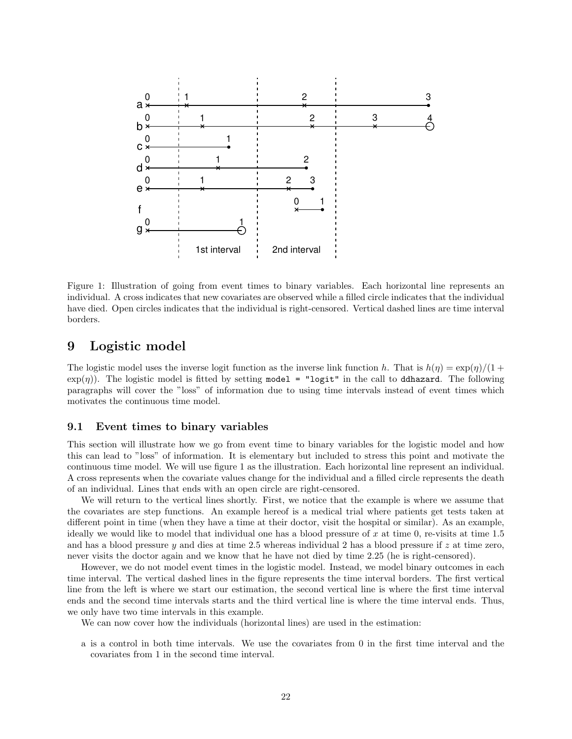

Figure 1: Illustration of going from event times to binary variables. Each horizontal line represents an individual. A cross indicates that new covariates are observed while a filled circle indicates that the individual have died. Open circles indicates that the individual is right-censored. Vertical dashed lines are time interval borders.

# <span id="page-21-0"></span>9 Logistic model

The logistic model uses the inverse logit function as the inverse link function h. That is  $h(\eta) = \exp(\eta)/(1 +$  $\exp(\eta)$ ). The logistic model is fitted by setting model = "logit" in the call to ddhazard. The following paragraphs will cover the "loss" of information due to using time intervals instead of event times which motivates the continuous time model.

### 9.1 Event times to binary variables

This section will illustrate how we go from event time to binary variables for the logistic model and how this can lead to "loss" of information. It is elementary but included to stress this point and motivate the continuous time model. We will use figure 1 as the illustration. Each horizontal line represent an individual. A cross represents when the covariate values change for the individual and a filled circle represents the death of an individual. Lines that ends with an open circle are right-censored.

We will return to the vertical lines shortly. First, we notice that the example is where we assume that the covariates are step functions. An example hereof is a medical trial where patients get tests taken at different point in time (when they have a time at their doctor, visit the hospital or similar). As an example, ideally we would like to model that individual one has a blood pressure of  $x$  at time 0, re-visits at time 1.5 and has a blood pressure y and dies at time 2.5 whereas individual 2 has a blood pressure if z at time zero, never visits the doctor again and we know that he have not died by time 2.25 (he is right-censored).

However, we do not model event times in the logistic model. Instead, we model binary outcomes in each time interval. The vertical dashed lines in the figure represents the time interval borders. The first vertical line from the left is where we start our estimation, the second vertical line is where the first time interval ends and the second time intervals starts and the third vertical line is where the time interval ends. Thus, we only have two time intervals in this example.

We can now cover how the individuals (horizontal lines) are used in the estimation:

a is a control in both time intervals. We use the covariates from 0 in the first time interval and the covariates from 1 in the second time interval.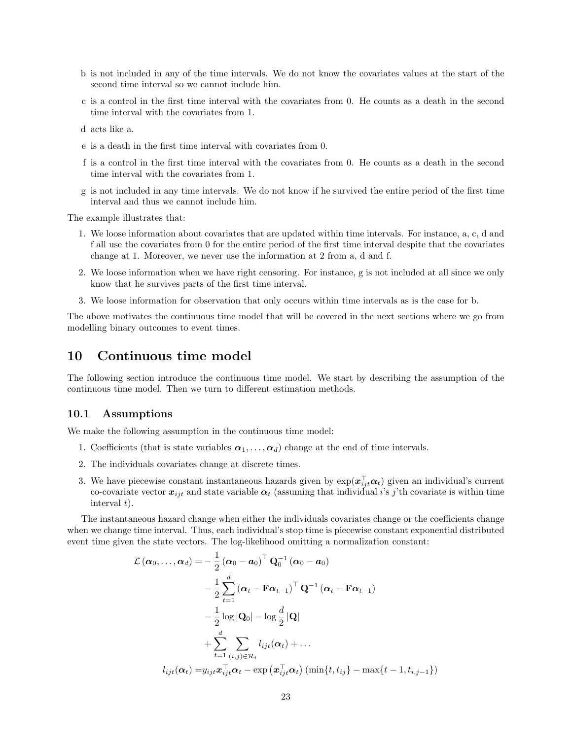- b is not included in any of the time intervals. We do not know the covariates values at the start of the second time interval so we cannot include him.
- c is a control in the first time interval with the covariates from 0. He counts as a death in the second time interval with the covariates from 1.
- d acts like a.
- e is a death in the first time interval with covariates from 0.
- f is a control in the first time interval with the covariates from 0. He counts as a death in the second time interval with the covariates from 1.
- g is not included in any time intervals. We do not know if he survived the entire period of the first time interval and thus we cannot include him.

The example illustrates that:

- 1. We loose information about covariates that are updated within time intervals. For instance, a, c, d and f all use the covariates from 0 for the entire period of the first time interval despite that the covariates change at 1. Moreover, we never use the information at 2 from a, d and f.
- 2. We loose information when we have right censoring. For instance, g is not included at all since we only know that he survives parts of the first time interval.
- 3. We loose information for observation that only occurs within time intervals as is the case for b.

The above motivates the continuous time model that will be covered in the next sections where we go from modelling binary outcomes to event times.

# <span id="page-22-0"></span>10 Continuous time model

The following section introduce the continuous time model. We start by describing the assumption of the continuous time model. Then we turn to different estimation methods.

#### 10.1 Assumptions

We make the following assumption in the continuous time model:

- 1. Coefficients (that is state variables  $\alpha_1, \ldots, \alpha_d$ ) change at the end of time intervals.
- 2. The individuals covariates change at discrete times.
- 3. We have piecewise constant instantaneous hazards given by  $\exp(\pmb{x}_{ij}^{\top}\pmb{\alpha}_t)$  given an individual's current co-covariate vector  $x_{ijt}$  and state variable  $\alpha_t$  (assuming that individual i's j'th covariate is within time interval  $t$ ).

The instantaneous hazard change when either the individuals covariates change or the coefficients change when we change time interval. Thus, each individual's stop time is piecewise constant exponential distributed event time given the state vectors. The log-likelihood omitting a normalization constant:

$$
\mathcal{L}(\boldsymbol{\alpha}_{0},...,\boldsymbol{\alpha}_{d}) = -\frac{1}{2} (\boldsymbol{\alpha}_{0} - \boldsymbol{a}_{0})^{\top} \mathbf{Q}_{0}^{-1} (\boldsymbol{\alpha}_{0} - \boldsymbol{a}_{0})
$$

$$
-\frac{1}{2} \sum_{t=1}^{d} (\boldsymbol{\alpha}_{t} - \mathbf{F} \boldsymbol{\alpha}_{t-1})^{\top} \mathbf{Q}^{-1} (\boldsymbol{\alpha}_{t} - \mathbf{F} \boldsymbol{\alpha}_{t-1})
$$

$$
-\frac{1}{2} \log |\mathbf{Q}_{0}| - \log \frac{d}{2} |\mathbf{Q}|
$$

$$
+ \sum_{t=1}^{d} \sum_{(i,j) \in \mathcal{R}_{t}} l_{ijt}(\boldsymbol{\alpha}_{t}) + ...
$$

$$
l_{ijt}(\boldsymbol{\alpha}_{t}) = y_{ijt} \boldsymbol{x}_{ijt}^{\top} \boldsymbol{\alpha}_{t} - \exp (\boldsymbol{x}_{ijt}^{\top} \boldsymbol{\alpha}_{t}) (\min\{t, t_{ij}\} - \max\{t-1, t_{i,j-1}\})
$$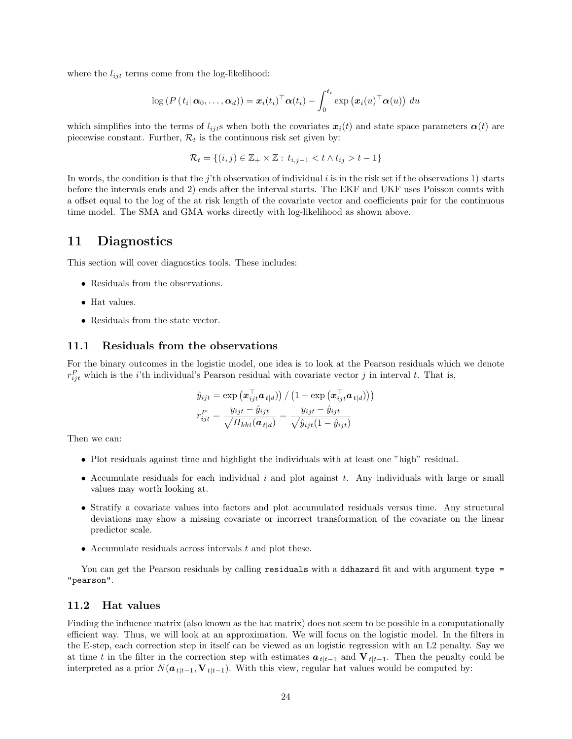where the  $l_{ijt}$  terms come from the log-likelihood:

$$
\log (P(t_i | \boldsymbol{\alpha}_0, ..., \boldsymbol{\alpha}_d)) = \boldsymbol{x}_i(t_i)^\top \boldsymbol{\alpha}(t_i) - \int_0^{t_i} \exp (\boldsymbol{x}_i(u)^\top \boldsymbol{\alpha}(u)) du
$$

which simplifies into the terms of  $l_{ijt}$ s when both the covariates  $x_i(t)$  and state space parameters  $\alpha(t)$  are piecewise constant. Further,  $\mathcal{R}_t$  is the continuous risk set given by:

$$
\mathcal{R}_t = \{(i,j) \in \mathbb{Z}_+ \times \mathbb{Z} : t_{i,j-1} < t \wedge t_{ij} > t-1\}
$$

In words, the condition is that the j'th observation of individual i is in the risk set if the observations 1) starts before the intervals ends and 2) ends after the interval starts. The EKF and UKF uses Poisson counts with a offset equal to the log of the at risk length of the covariate vector and coefficients pair for the continuous time model. The SMA and GMA works directly with log-likelihood as shown above.

# <span id="page-23-0"></span>11 Diagnostics

This section will cover diagnostics tools. These includes:

- Residuals from the observations.
- Hat values.
- Residuals from the state vector.

## 11.1 Residuals from the observations

For the binary outcomes in the logistic model, one idea is to look at the Pearson residuals which we denote  $r_{ijt}^P$  which is the *i*'th individual's Pearson residual with covariate vector *j* in interval *t*. That is,

$$
\hat{y}_{ijt} = \exp\left(\boldsymbol{x}_{ijt}^{\top}\boldsymbol{a}_{t|d}\right) / \left(1 + \exp\left(\boldsymbol{x}_{ijt}^{\top}\boldsymbol{a}_{t|d}\right)\right) \right)
$$
\n
$$
r_{ijt}^{P} = \frac{y_{ijt} - \hat{y}_{ijt}}{\sqrt{H_{kkt}(\boldsymbol{a}_{t|d})}} = \frac{y_{ijt} - \hat{y}_{ijt}}{\sqrt{\hat{y}_{ijt}(1 - \hat{y}_{ijt})}}
$$

Then we can:

- Plot residuals against time and highlight the individuals with at least one "high" residual.
- Accumulate residuals for each individual  $i$  and plot against  $t$ . Any individuals with large or small values may worth looking at.
- Stratify a covariate values into factors and plot accumulated residuals versus time. Any structural deviations may show a missing covariate or incorrect transformation of the covariate on the linear predictor scale.
- Accumulate residuals across intervals  $t$  and plot these.

You can get the Pearson residuals by calling residuals with a ddhazard fit and with argument type = "pearson".

### 11.2 Hat values

Finding the influence matrix (also known as the hat matrix) does not seem to be possible in a computationally efficient way. Thus, we will look at an approximation. We will focus on the logistic model. In the filters in the E-step, each correction step in itself can be viewed as an logistic regression with an L2 penalty. Say we at time t in the filter in the correction step with estimates  $a_{t|t-1}$  and  $V_{t|t-1}$ . Then the penalty could be interpreted as a prior  $N(a_{t|t-1}, V_{t|t-1})$ . With this view, regular hat values would be computed by: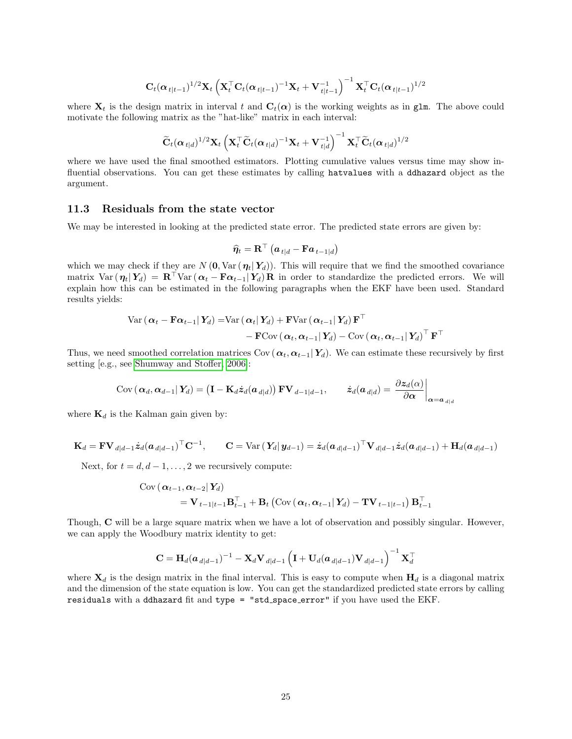$$
\mathbf{C}_t(\boldsymbol{\alpha}_{t|t-1})^{1/2}\mathbf{X}_t\left(\mathbf{X}_t^{\top}\mathbf{C}_t(\boldsymbol{\alpha}_{t|t-1})^{-1}\mathbf{X}_t+\mathbf{V}_{t|t-1}^{-1}\right)^{-1}\mathbf{X}_t^{\top}\mathbf{C}_t(\boldsymbol{\alpha}_{t|t-1})^{1/2}
$$

where  $X_t$  is the design matrix in interval t and  $C_t(\alpha)$  is the working weights as in glm. The above could motivate the following matrix as the "hat-like" matrix in each interval:

$$
\widetilde{\mathbf{C}}_t(\boldsymbol{\alpha}_{t|d})^{1/2}\mathbf{X}_t\left(\mathbf{X}_t^\top\widetilde{\mathbf{C}}_t(\boldsymbol{\alpha}_{t|d})^{-1}\mathbf{X}_t+\mathbf{V}_{t|d}^{-1}\right)^{-1}\mathbf{X}_t^\top\widetilde{\mathbf{C}}_t(\boldsymbol{\alpha}_{t|d})^{1/2}
$$

where we have used the final smoothed estimators. Plotting cumulative values versus time may show influential observations. You can get these estimates by calling hatvalues with a ddhazard object as the argument.

### 11.3 Residuals from the state vector

We may be interested in looking at the predicted state error. The predicted state errors are given by:

$$
\widehat{\boldsymbol{\eta}}_t = \mathbf{R}^\top \left( \boldsymbol{a}_{t|d} - \mathbf{F} \boldsymbol{a}_{t-1|d} \right)
$$

which we may check if they are N  $(0, \text{Var}(\eta_t|\textbf{Y}_d))$ . This will require that we find the smoothed covariance matrix Var  $(\eta_t|Y_d) = \mathbf{R}^\top \text{Var}(\boldsymbol{\alpha}_t - \mathbf{F}\boldsymbol{\alpha}_{t-1} | Y_d) \mathbf{R}$  in order to standardize the predicted errors. We will explain how this can be estimated in the following paragraphs when the EKF have been used. Standard results yields:

$$
\text{Var}\left(\boldsymbol{\alpha}_{t}-\mathbf{F}\boldsymbol{\alpha}_{t-1}|\mathbf{Y}_{d}\right) = \text{Var}\left(\boldsymbol{\alpha}_{t}|\mathbf{Y}_{d}\right) + \mathbf{F}\text{Var}\left(\boldsymbol{\alpha}_{t-1}|\mathbf{Y}_{d}\right)\mathbf{F}^{\top} - \mathbf{F}\text{Cov}\left(\boldsymbol{\alpha}_{t},\boldsymbol{\alpha}_{t-1}|\mathbf{Y}_{d}\right) - \text{Cov}\left(\boldsymbol{\alpha}_{t},\boldsymbol{\alpha}_{t-1}|\mathbf{Y}_{d}\right)^{\top}\mathbf{F}^{\top}
$$

Thus, we need smoothed correlation matrices Cov ( $\alpha_t, \alpha_{t-1}|Y_d$ ). We can estimate these recursively by first setting [e.g., see [Shumway and Stoffer, 2006\]](#page-25-12):

$$
Cov\left(\boldsymbol{\alpha}_d, \boldsymbol{\alpha}_{d-1} | \mathbf{Y}_d\right) = \left(\mathbf{I} - \mathbf{K}_d \dot{\mathbf{z}}_d(\boldsymbol{a}_{d|d})\right) \mathbf{F} \mathbf{V}_{d-1|d-1}, \qquad \dot{\mathbf{z}}_d(\boldsymbol{a}_{d|d}) = \left. \frac{\partial \mathbf{z}_d(\alpha)}{\partial \boldsymbol{\alpha}} \right|_{\boldsymbol{\alpha} = \boldsymbol{a}_{d|d}}
$$

where  $\mathbf{K}_d$  is the Kalman gain given by:

$$
\mathbf{K}_d = \mathbf{F} \mathbf{V}_{d|d-1} \dot{\mathbf{z}}_d (\boldsymbol{a}_{d|d-1})^\top \mathbf{C}^{-1}, \qquad \mathbf{C} = \text{Var}\left(\mathbf{Y}_d | \mathbf{y}_{d-1}\right) = \dot{\mathbf{z}}_d (\boldsymbol{a}_{d|d-1})^\top \mathbf{V}_{d|d-1} \dot{\mathbf{z}}_d (\boldsymbol{a}_{d|d-1}) + \mathbf{H}_d (\boldsymbol{a}_{d|d-1})
$$

Next, for  $t = d, d - 1, \ldots, 2$  we recursively compute:

$$
\begin{aligned} \text{Cov} \left( \left. \boldsymbol{\alpha}_{t-1}, \boldsymbol{\alpha}_{t-2} \right| \boldsymbol{Y}_d \right) \\ &= \mathbf{V}_{t-1|t-1} \mathbf{B}_{t-1}^\top + \mathbf{B}_t \left( \text{Cov} \left( \left. \boldsymbol{\alpha}_t, \boldsymbol{\alpha}_{t-1} \right| \boldsymbol{Y}_d \right) - \mathbf{TV}_{t-1|t-1} \right) \mathbf{B}_{t-1}^\top \end{aligned}
$$

Though, C will be a large square matrix when we have a lot of observation and possibly singular. However, we can apply the Woodbury matrix identity to get:

$$
\mathbf{C} = \mathbf{H}_d(\mathbf{a}_{d|d-1})^{-1} - \mathbf{X}_d \mathbf{V}_{d|d-1} \left( \mathbf{I} + \mathbf{U}_d(\mathbf{a}_{d|d-1}) \mathbf{V}_{d|d-1} \right)^{-1} \mathbf{X}_d^{\top}
$$

where  $X_d$  is the design matrix in the final interval. This is easy to compute when  $H_d$  is a diagonal matrix and the dimension of the state equation is low. You can get the standardized predicted state errors by calling residuals with a ddhazard fit and type = "std\_space\_error" if you have used the EKF.